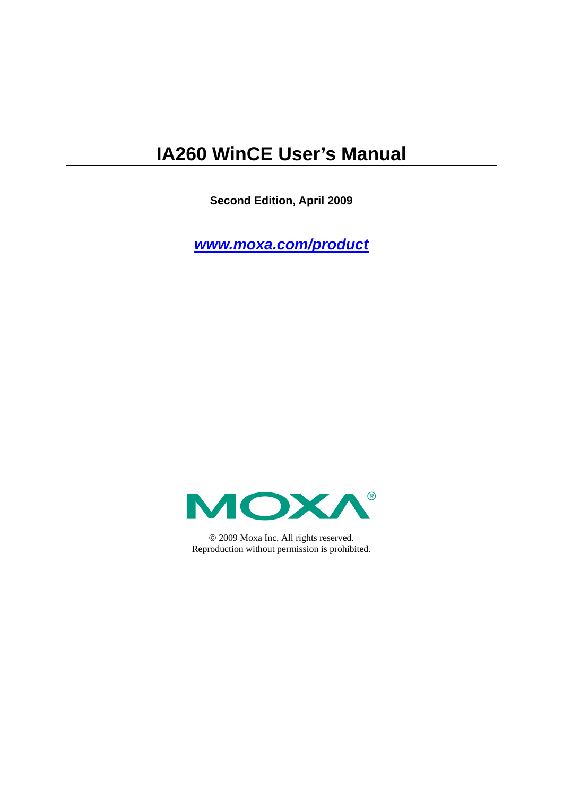# **IA260 WinCE User's Manual**

**Second Edition, April 2009** 

*[www.moxa.com/product](http://www.moxa.com/product)*



© 2009 Moxa Inc. All rights reserved. Reproduction without permission is prohibited.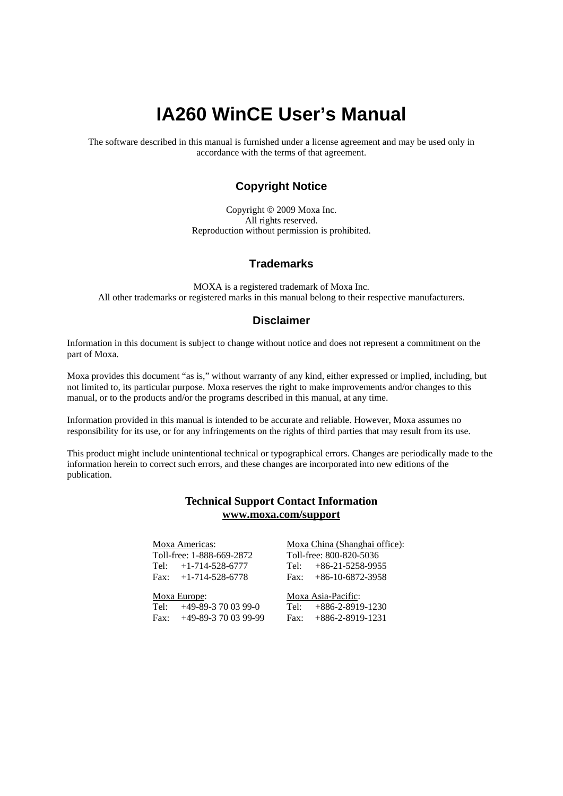# **IA260 WinCE User's Manual**

The software described in this manual is furnished under a license agreement and may be used only in accordance with the terms of that agreement.

### **Copyright Notice**

Copyright © 2009 Moxa Inc. All rights reserved. Reproduction without permission is prohibited.

### **Trademarks**

MOXA is a registered trademark of Moxa Inc. All other trademarks or registered marks in this manual belong to their respective manufacturers.

#### **Disclaimer**

Information in this document is subject to change without notice and does not represent a commitment on the part of Moxa.

Moxa provides this document "as is," without warranty of any kind, either expressed or implied, including, but not limited to, its particular purpose. Moxa reserves the right to make improvements and/or changes to this manual, or to the products and/or the programs described in this manual, at any time.

Information provided in this manual is intended to be accurate and reliable. However, Moxa assumes no responsibility for its use, or for any infringements on the rights of third parties that may result from its use.

This product might include unintentional technical or typographical errors. Changes are periodically made to the information herein to correct such errors, and these changes are incorporated into new editions of the publication.

### **Technical Support Contact Information [www.moxa.com/support](http://www.moxa.com/support)**

#### Moxa Americas:

Toll-free: 1-888-669-2872 Tel: +1-714-528-6777 Fax:  $+1-714-528-6778$ 

#### Moxa China (Shanghai office): Toll-free: 800-820-5036 Tel: +86-21-5258-9955

 $Fax: +86-10-6872-3958$ 

#### Moxa Europe:

Tel: +49-89-3 70 03 99-0 Fax: +49-89-3 70 03 99-99 Moxa Asia-Pacific:

Tel: +886-2-8919-1230 Fax: +886-2-8919-1231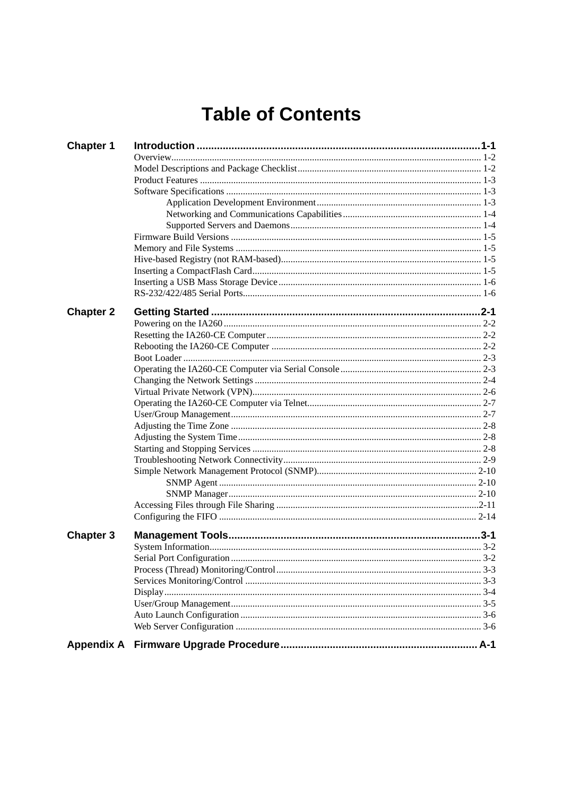# **Table of Contents**

| <b>Chapter 1</b> |  |
|------------------|--|
|                  |  |
|                  |  |
|                  |  |
|                  |  |
|                  |  |
|                  |  |
|                  |  |
|                  |  |
|                  |  |
|                  |  |
|                  |  |
|                  |  |
|                  |  |
|                  |  |
| <b>Chapter 2</b> |  |
|                  |  |
|                  |  |
|                  |  |
|                  |  |
|                  |  |
|                  |  |
|                  |  |
|                  |  |
|                  |  |
|                  |  |
|                  |  |
|                  |  |
|                  |  |
|                  |  |
|                  |  |
|                  |  |
|                  |  |
|                  |  |
| <b>Chapter 3</b> |  |
|                  |  |
|                  |  |
|                  |  |
|                  |  |
|                  |  |
|                  |  |
|                  |  |
|                  |  |
|                  |  |
|                  |  |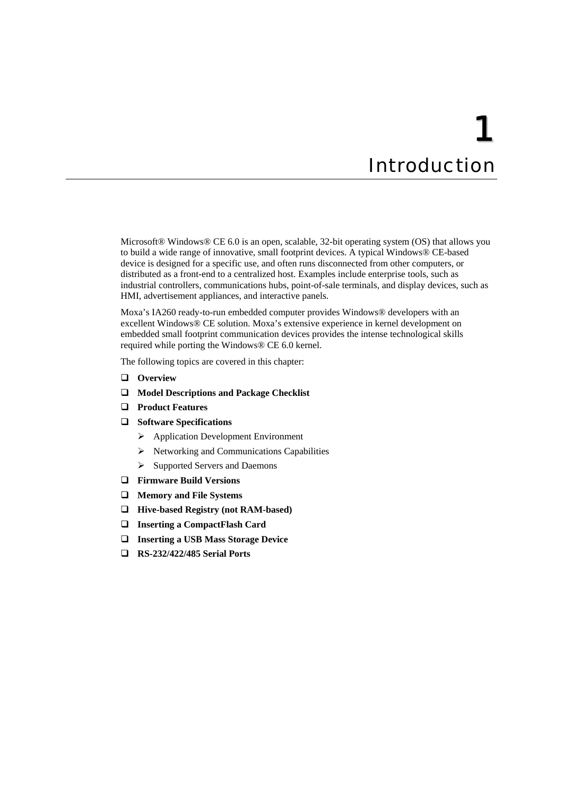# 1 **Introduction**

<span id="page-3-0"></span>Microsoft® Windows® CE 6.0 is an open, scalable, 32-bit operating system (OS) that allows you to build a wide range of innovative, small footprint devices. A typical Windows® CE-based device is designed for a specific use, and often runs disconnected from other computers, or distributed as a front-end to a centralized host. Examples include enterprise tools, such as industrial controllers, communications hubs, point-of-sale terminals, and display devices, such as HMI, advertisement appliances, and interactive panels.

Moxa's IA260 ready-to-run embedded computer provides Windows® developers with an excellent Windows® CE solution. Moxa's extensive experience in kernel development on embedded small footprint communication devices provides the intense technological skills required while porting the Windows® CE 6.0 kernel.

The following topics are covered in this chapter:

- **[Overview](#page-4-1)**
- **[Model Descriptions and Package Checklist](#page-4-2)**
- **[Product Features](#page-5-1)**
- **[Software Specifications](#page-5-2)**
	- ¾ [Application Development Environment](#page-5-3)
	- $\triangleright$  [Networking and Communications Capabilities](#page-6-1)
	- ¾ [Supported Servers and Daemons](#page-6-2)
- **[Firmware Build Versions](#page-7-1)**
- **[Memory and File Systems](#page-7-2)**
- **[Hive-based Registry \(not RAM-based\)](#page-7-3)**
- **[Inserting a CompactFlash Card](#page-7-4)**
- **[Inserting a USB Mass Storage Device](#page-8-1)**
- **[RS-232/422/485 Serial Ports](#page-8-2)**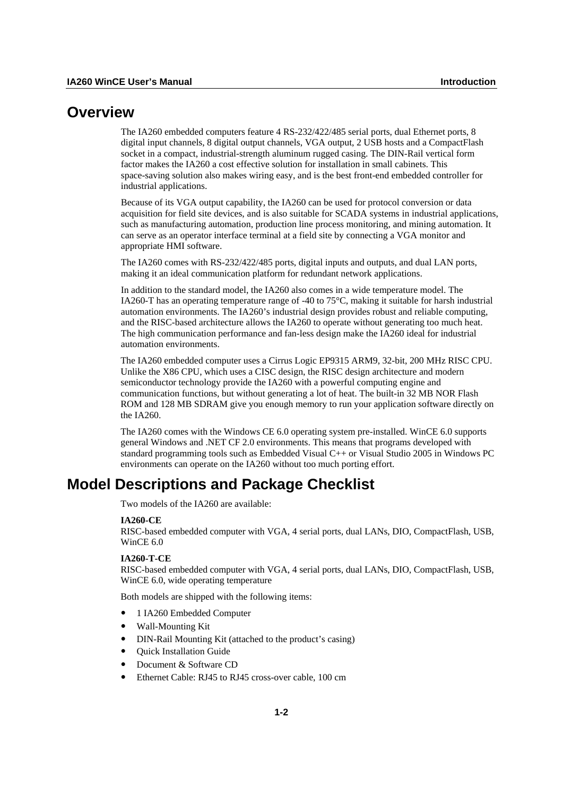### <span id="page-4-1"></span><span id="page-4-0"></span>**Overview**

The IA260 embedded computers feature 4 RS-232/422/485 serial ports, dual Ethernet ports, 8 digital input channels, 8 digital output channels, VGA output, 2 USB hosts and a CompactFlash socket in a compact, industrial-strength aluminum rugged casing. The DIN-Rail vertical form factor makes the IA260 a cost effective solution for installation in small cabinets. This space-saving solution also makes wiring easy, and is the best front-end embedded controller for industrial applications.

Because of its VGA output capability, the IA260 can be used for protocol conversion or data acquisition for field site devices, and is also suitable for SCADA systems in industrial applications, such as manufacturing automation, production line process monitoring, and mining automation. It can serve as an operator interface terminal at a field site by connecting a VGA monitor and appropriate HMI software.

The IA260 comes with RS-232/422/485 ports, digital inputs and outputs, and dual LAN ports, making it an ideal communication platform for redundant network applications.

In addition to the standard model, the IA260 also comes in a wide temperature model. The IA260-T has an operating temperature range of -40 to 75°C, making it suitable for harsh industrial automation environments. The IA260's industrial design provides robust and reliable computing, and the RISC-based architecture allows the IA260 to operate without generating too much heat. The high communication performance and fan-less design make the IA260 ideal for industrial automation environments.

The IA260 embedded computer uses a Cirrus Logic EP9315 ARM9, 32-bit, 200 MHz RISC CPU. Unlike the X86 CPU, which uses a CISC design, the RISC design architecture and modern semiconductor technology provide the IA260 with a powerful computing engine and communication functions, but without generating a lot of heat. The built-in 32 MB NOR Flash ROM and 128 MB SDRAM give you enough memory to run your application software directly on the IA260.

The IA260 comes with the Windows CE 6.0 operating system pre-installed. WinCE 6.0 supports general Windows and .NET CF 2.0 environments. This means that programs developed with standard programming tools such as Embedded Visual C++ or Visual Studio 2005 in Windows PC environments can operate on the IA260 without too much porting effort.

# <span id="page-4-2"></span>**Model Descriptions and Package Checklist**

Two models of the IA260 are available:

#### **IA260-CE**

RISC-based embedded computer with VGA, 4 serial ports, dual LANs, DIO, CompactFlash, USB, WinCE 6.0

#### **IA260-T-CE**

RISC-based embedded computer with VGA, 4 serial ports, dual LANs, DIO, CompactFlash, USB, WinCE 6.0, wide operating temperature

Both models are shipped with the following items:

- y 1 IA260 Embedded Computer
- y Wall-Mounting Kit
- DIN-Rail Mounting Kit (attached to the product's casing)
- **Quick Installation Guide**
- Document & Software CD
- Ethernet Cable: RJ45 to RJ45 cross-over cable, 100 cm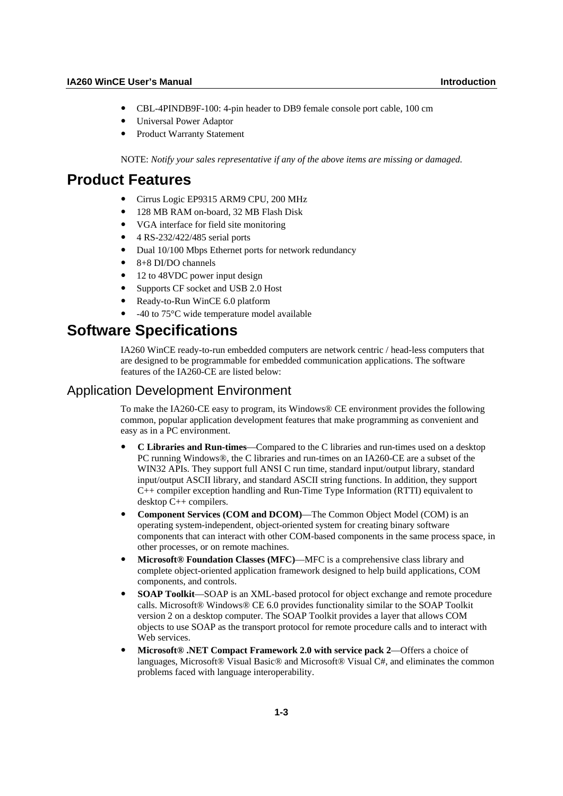- <span id="page-5-0"></span>y CBL-4PINDB9F-100: 4-pin header to DB9 female console port cable, 100 cm
- Universal Power Adaptor
- Product Warranty Statement

NOTE: *Notify your sales representative if any of the above items are missing or damaged.* 

## <span id="page-5-1"></span>**Product Features**

- y Cirrus Logic EP9315 ARM9 CPU, 200 MHz
- y 128 MB RAM on-board, 32 MB Flash Disk
- y VGA interface for field site monitoring
- y 4 RS-232/422/485 serial ports
- Dual 10/100 Mbps Ethernet ports for network redundancy
- y 8+8 DI/DO channels
- 12 to 48VDC power input design
- Supports CF socket and USB 2.0 Host
- Ready-to-Run WinCE 6.0 platform
- -40 to 75°C wide temperature model available

# <span id="page-5-2"></span>**Software Specifications**

IA260 WinCE ready-to-run embedded computers are network centric / head-less computers that are designed to be programmable for embedded communication applications. The software features of the IA260-CE are listed below:

### <span id="page-5-3"></span>Application Development Environment

To make the IA260-CE easy to program, its Windows® CE environment provides the following common, popular application development features that make programming as convenient and easy as in a PC environment.

- y **C Libraries and Run-times**—Compared to the C libraries and run-times used on a desktop PC running Windows®, the C libraries and run-times on an IA260-CE are a subset of the WIN32 APIs. They support full ANSI C run time, standard input/output library, standard input/output ASCII library, and standard ASCII string functions. In addition, they support C++ compiler exception handling and Run-Time Type Information (RTTI) equivalent to desktop C++ compilers.
- **Component Services (COM and DCOM)—The Common Object Model (COM) is an** operating system-independent, object-oriented system for creating binary software components that can interact with other COM-based components in the same process space, in other processes, or on remote machines.
- **Microsoft® Foundation Classes (MFC)—MFC is a comprehensive class library and** complete object-oriented application framework designed to help build applications, COM components, and controls.
- **SOAP Toolkit—SOAP** is an XML-based protocol for object exchange and remote procedure calls. Microsoft® Windows® CE 6.0 provides functionality similar to the SOAP Toolkit version 2 on a desktop computer. The SOAP Toolkit provides a layer that allows COM objects to use SOAP as the transport protocol for remote procedure calls and to interact with Web services.
- y **Microsoft® .NET Compact Framework 2.0 with service pack 2**—Offers a choice of languages, Microsoft® Visual Basic® and Microsoft® Visual C#, and eliminates the common problems faced with language interoperability.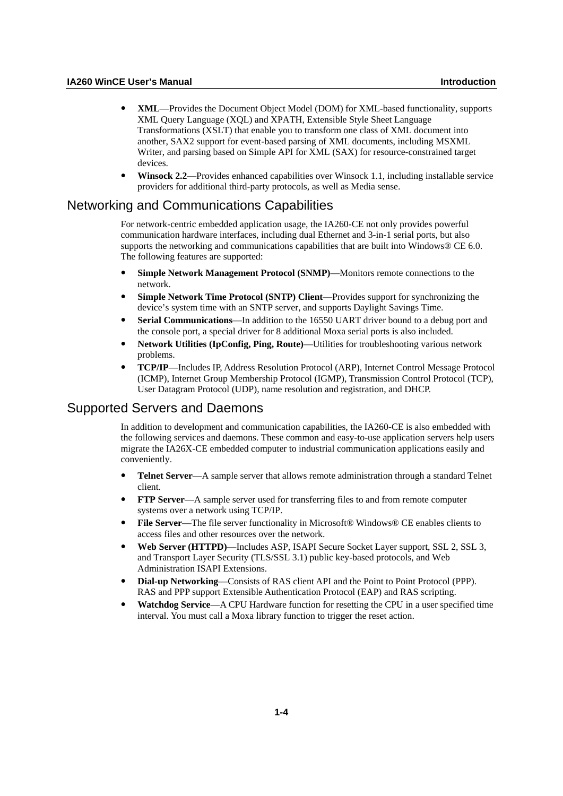- <span id="page-6-0"></span>y **XML**—Provides the Document Object Model (DOM) for XML-based functionality, supports XML Query Language (XQL) and XPATH, Extensible Style Sheet Language Transformations (XSLT) that enable you to transform one class of XML document into another, SAX2 support for event-based parsing of XML documents, including MSXML Writer, and parsing based on Simple API for XML (SAX) for resource-constrained target devices.
- **Winsock 2.2—Provides enhanced capabilities over Winsock 1.1, including installable service** providers for additional third-party protocols, as well as Media sense.

### <span id="page-6-1"></span>Networking and Communications Capabilities

For network-centric embedded application usage, the IA260-CE not only provides powerful communication hardware interfaces, including dual Ethernet and 3-in-1 serial ports, but also supports the networking and communications capabilities that are built into Windows® CE 6.0. The following features are supported:

- **Simple Network Management Protocol (SNMP)—Monitors remote connections to the** network.
- **Simple Network Time Protocol (SNTP) Client—Provides support for synchronizing the** device's system time with an SNTP server, and supports Daylight Savings Time.
- **Serial Communications—In addition to the 16550 UART driver bound to a debug port and** the console port, a special driver for 8 additional Moxa serial ports is also included.
- Network Utilities (IpConfig, Ping, Route)—Utilities for troubleshooting various network problems.
- y **TCP/IP**—Includes IP, Address Resolution Protocol (ARP), Internet Control Message Protocol (ICMP), Internet Group Membership Protocol (IGMP), Transmission Control Protocol (TCP), User Datagram Protocol (UDP), name resolution and registration, and DHCP.

### <span id="page-6-2"></span>Supported Servers and Daemons

In addition to development and communication capabilities, the IA260-CE is also embedded with the following services and daemons. These common and easy-to-use application servers help users migrate the IA26X-CE embedded computer to industrial communication applications easily and conveniently.

- **Telnet Server—A** sample server that allows remote administration through a standard Telnet client.
- **FTP Server—A** sample server used for transferring files to and from remote computer systems over a network using TCP/IP.
- **File Server—The file server functionality in Microsoft® Windows® CE enables clients to** access files and other resources over the network.
- y **Web Server (HTTPD)**—Includes ASP, ISAPI Secure Socket Layer support, SSL 2, SSL 3, and Transport Layer Security (TLS/SSL 3.1) public key-based protocols, and Web Administration ISAPI Extensions.
- **Dial-up Networking—Consists of RAS client API and the Point to Point Protocol (PPP).** RAS and PPP support Extensible Authentication Protocol (EAP) and RAS scripting.
- **Watchdog Service—A CPU Hardware function for resetting the CPU in a user specified time** interval. You must call a Moxa library function to trigger the reset action.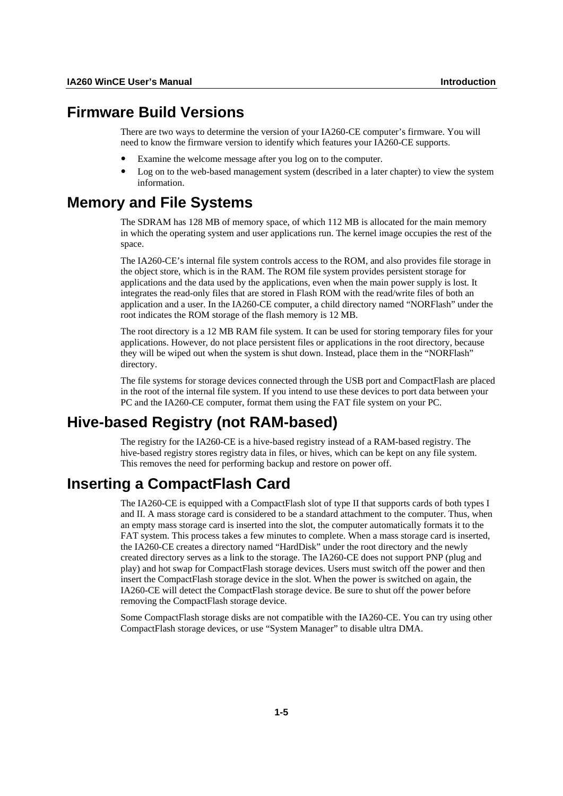### <span id="page-7-1"></span><span id="page-7-0"></span>**Firmware Build Versions**

There are two ways to determine the version of your IA260-CE computer's firmware. You will need to know the firmware version to identify which features your IA260-CE supports.

- Examine the welcome message after you log on to the computer.
- Log on to the web-based management system (described in a later chapter) to view the system information.

### <span id="page-7-2"></span>**Memory and File Systems**

The SDRAM has 128 MB of memory space, of which 112 MB is allocated for the main memory in which the operating system and user applications run. The kernel image occupies the rest of the space.

The IA260-CE's internal file system controls access to the ROM, and also provides file storage in the object store, which is in the RAM. The ROM file system provides persistent storage for applications and the data used by the applications, even when the main power supply is lost. It integrates the read-only files that are stored in Flash ROM with the read/write files of both an application and a user. In the IA260-CE computer, a child directory named "NORFlash" under the root indicates the ROM storage of the flash memory is 12 MB.

The root directory is a 12 MB RAM file system. It can be used for storing temporary files for your applications. However, do not place persistent files or applications in the root directory, because they will be wiped out when the system is shut down. Instead, place them in the "NORFlash" directory.

The file systems for storage devices connected through the USB port and CompactFlash are placed in the root of the internal file system. If you intend to use these devices to port data between your PC and the IA260-CE computer, format them using the FAT file system on your PC.

# <span id="page-7-3"></span>**Hive-based Registry (not RAM-based)**

The registry for the IA260-CE is a hive-based registry instead of a RAM-based registry. The hive-based registry stores registry data in files, or hives, which can be kept on any file system. This removes the need for performing backup and restore on power off.

# <span id="page-7-4"></span>**Inserting a CompactFlash Card**

The IA260-CE is equipped with a CompactFlash slot of type II that supports cards of both types I and II. A mass storage card is considered to be a standard attachment to the computer. Thus, when an empty mass storage card is inserted into the slot, the computer automatically formats it to the FAT system. This process takes a few minutes to complete. When a mass storage card is inserted, the IA260-CE creates a directory named "HardDisk" under the root directory and the newly created directory serves as a link to the storage. The IA260-CE does not support PNP (plug and play) and hot swap for CompactFlash storage devices. Users must switch off the power and then insert the CompactFlash storage device in the slot. When the power is switched on again, the IA260-CE will detect the CompactFlash storage device. Be sure to shut off the power before removing the CompactFlash storage device.

Some CompactFlash storage disks are not compatible with the IA260-CE. You can try using other CompactFlash storage devices, or use "System Manager" to disable ultra DMA.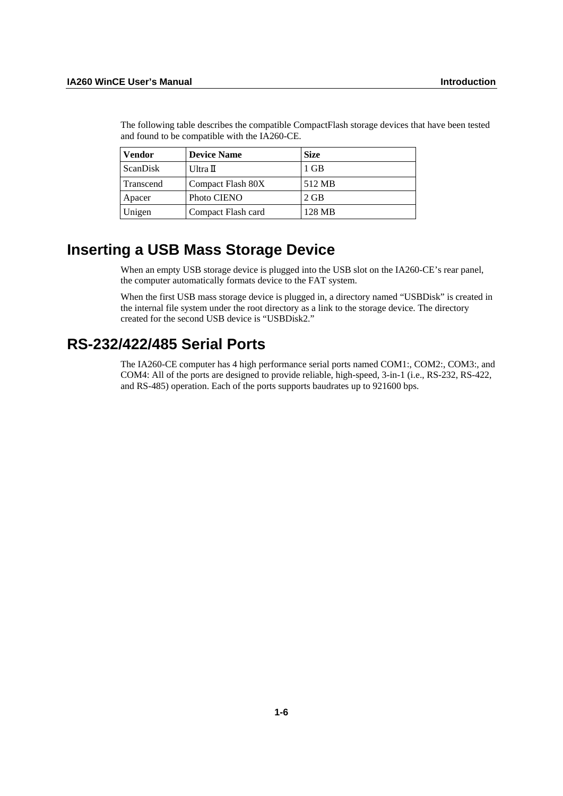| Vendor    | <b>Device Name</b> | <b>Size</b> |
|-----------|--------------------|-------------|
| ScanDisk  | Ultra $\mathbb I$  | 1 GB        |
| Transcend | Compact Flash 80X  | 512 MB      |
| Apacer    | Photo CIENO        | $2$ GB      |
| Unigen    | Compact Flash card | 128 MB      |

<span id="page-8-0"></span>The following table describes the compatible CompactFlash storage devices that have been tested and found to be compatible with the IA260-CE.

# <span id="page-8-1"></span>**Inserting a USB Mass Storage Device**

When an empty USB storage device is plugged into the USB slot on the IA260-CE's rear panel, the computer automatically formats device to the FAT system.

When the first USB mass storage device is plugged in, a directory named "USBDisk" is created in the internal file system under the root directory as a link to the storage device. The directory created for the second USB device is "USBDisk2."

# <span id="page-8-2"></span>**RS-232/422/485 Serial Ports**

The IA260-CE computer has 4 high performance serial ports named COM1:, COM2:, COM3:, and COM4: All of the ports are designed to provide reliable, high-speed, 3-in-1 (i.e., RS-232, RS-422, and RS-485) operation. Each of the ports supports baudrates up to 921600 bps.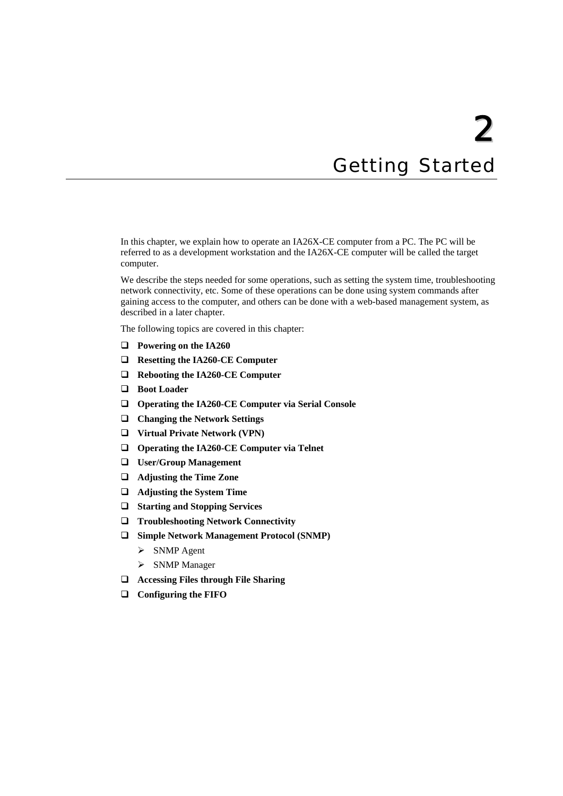# 2 **Getting Started**

<span id="page-9-0"></span>In this chapter, we explain how to operate an IA26X-CE computer from a PC. The PC will be referred to as a development workstation and the IA26X-CE computer will be called the target computer.

We describe the steps needed for some operations, such as setting the system time, troubleshooting network connectivity, etc. Some of these operations can be done using system commands after gaining access to the computer, and others can be done with a web-based management system, as described in a later chapter.

The following topics are covered in this chapter:

- **[Powering on the IA260](#page-10-1)**
- **[Resetting the IA260-CE Computer](#page-10-2)**
- **[Rebooting the IA260-CE Computer](#page-10-3)**
- **[Boot Loader](#page-11-1)**
- **[Operating the IA260-CE Computer via Serial Console](#page-11-2)**
- **[Changing the Network Settings](#page-12-1)**
- **[Virtual Private Network \(VPN\)](#page-14-1)**
- **[Operating the IA260-CE Computer via Telnet](#page-15-1)**
- **[User/Group Management](#page-15-2)**
- **[Adjusting the Time Zone](#page-16-1)**
- **[Adjusting the System Time](#page-16-2)**
- **[Starting and Stopping Services](#page-16-3)**
- **[Troubleshooting Network Connectivity](#page-17-1)**
- **[Simple Network Management Protocol \(SNMP\)](#page-18-1)** 
	- $\triangleright$  [SNMP Agent](#page-18-2)
	- $\triangleright$  [SNMP Manager](#page-18-3)
- **[Accessing Files through File Sharing](#page-19-1)**
- **[Configuring the FIFO](#page-22-1)**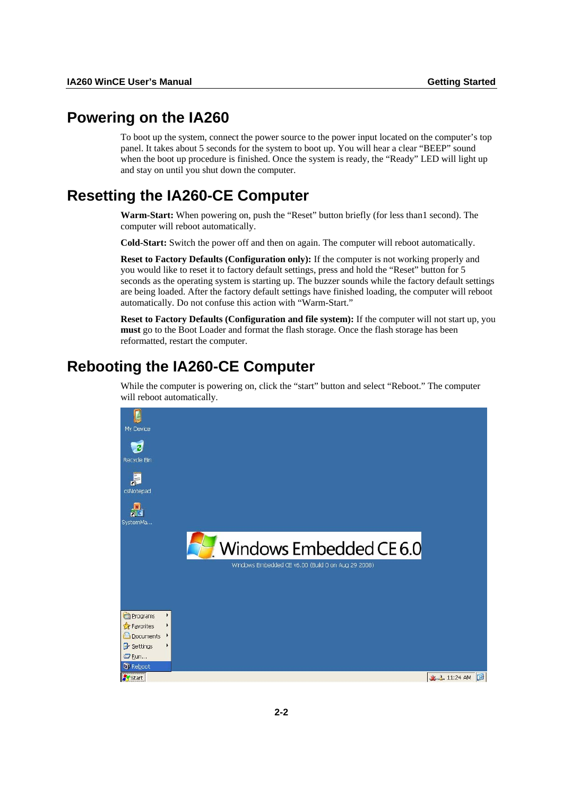# <span id="page-10-1"></span><span id="page-10-0"></span>**Powering on the IA260**

To boot up the system, connect the power source to the power input located on the computer's top panel. It takes about 5 seconds for the system to boot up. You will hear a clear "BEEP" sound when the boot up procedure is finished. Once the system is ready, the "Ready" LED will light up and stay on until you shut down the computer.

# <span id="page-10-2"></span>**Resetting the IA260-CE Computer**

**Warm-Start:** When powering on, push the "Reset" button briefly (for less than1 second). The computer will reboot automatically.

**Cold-Start:** Switch the power off and then on again. The computer will reboot automatically.

**Reset to Factory Defaults (Configuration only):** If the computer is not working properly and you would like to reset it to factory default settings, press and hold the "Reset" button for 5 seconds as the operating system is starting up. The buzzer sounds while the factory default settings are being loaded. After the factory default settings have finished loading, the computer will reboot automatically. Do not confuse this action with "Warm-Start."

**Reset to Factory Defaults (Configuration and file system):** If the computer will not start up, you **must** go to the Boot Loader and format the flash storage. Once the flash storage has been reformatted, restart the computer.

# <span id="page-10-3"></span>**Rebooting the IA260-CE Computer**

While the computer is powering on, click the "start" button and select "Reboot." The computer will reboot automatically.

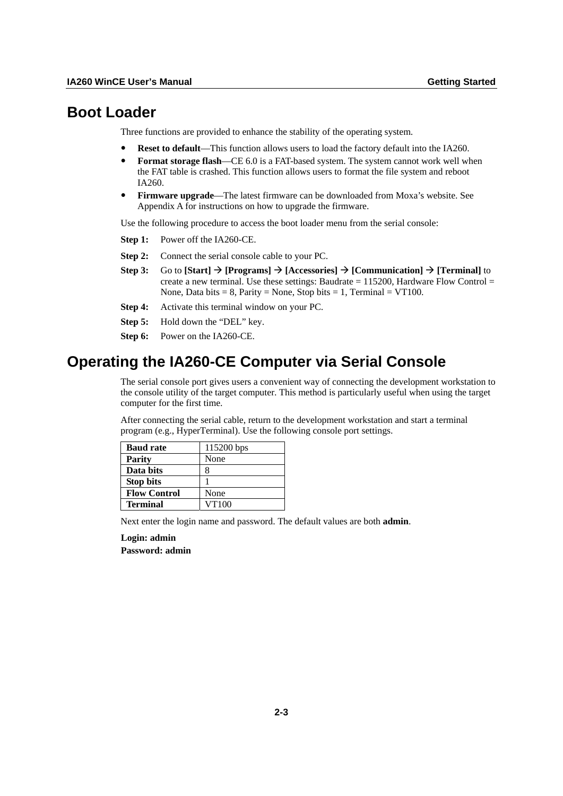### <span id="page-11-1"></span><span id="page-11-0"></span>**Boot Loader**

Three functions are provided to enhance the stability of the operating system.

- **Reset to default**—This function allows users to load the factory default into the IA260.
- **Format storage flash—CE** 6.0 is a FAT-based system. The system cannot work well when the FAT table is crashed. This function allows users to format the file system and reboot IA260.
- **Firmware upgrade—The latest firmware can be downloaded from Moxa's website. See** Appendix A for instructions on how to upgrade the firmware.

Use the following procedure to access the boot loader menu from the serial console:

- **Step 1:** Power off the IA260-CE.
- **Step 2:** Connect the serial console cable to your PC.
- **Step 3:** Go to  $[Start] \rightarrow [Programs] \rightarrow [Accessories] \rightarrow [Communication] \rightarrow [Terminal]$  to create a new terminal. Use these settings: Baudrate  $= 115200$ , Hardware Flow Control  $=$ None, Data bits = 8, Parity = None, Stop bits = 1, Terminal = VT100.
- **Step 4:** Activate this terminal window on your PC.
- **Step 5:** Hold down the "DEL" key.
- **Step 6:** Power on the IA260-CE.

## <span id="page-11-2"></span>**Operating the IA260-CE Computer via Serial Console**

The serial console port gives users a convenient way of connecting the development workstation to the console utility of the target computer. This method is particularly useful when using the target computer for the first time.

After connecting the serial cable, return to the development workstation and start a terminal program (e.g., HyperTerminal). Use the following console port settings.

| <b>Baud rate</b>    | 115200 bps |
|---------------------|------------|
| <b>Parity</b>       | None       |
| Data bits           |            |
| <b>Stop bits</b>    |            |
| <b>Flow Control</b> | None       |
| <b>Terminal</b>     | VT100      |

Next enter the login name and password. The default values are both **admin**.

**Login: admin** 

**Password: admin**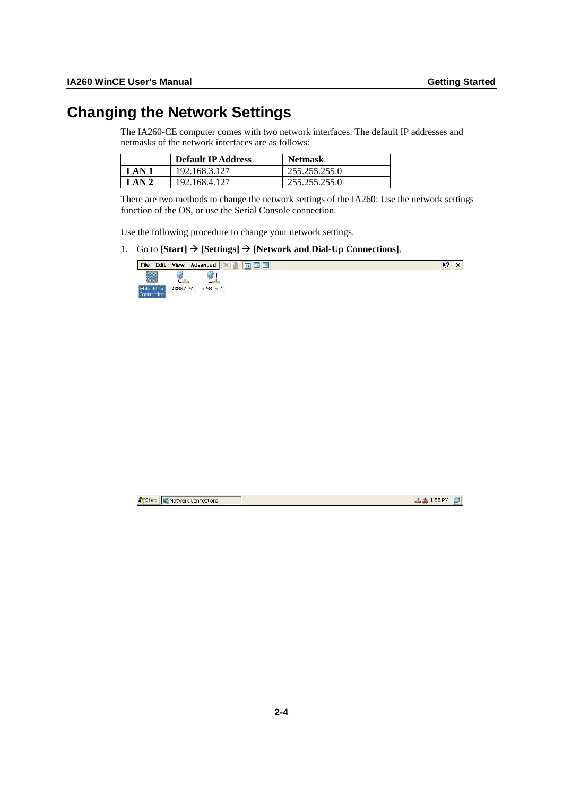# <span id="page-12-1"></span><span id="page-12-0"></span>**Changing the Network Settings**

The IA260-CE computer comes with two network interfaces. The default IP addresses and netmasks of the network interfaces are as follows:

|       | <b>Default IP Address</b> | <b>Netmask</b> |
|-------|---------------------------|----------------|
| LAN 1 | 192.168.3.127             | 255.255.255.0  |
| LAN 2 | 192.168.4.127             | 255.255.255.0  |

There are two methods to change the network settings of the IA260: Use the network settings function of the OS, or use the Serial Console connection.

Use the following procedure to change your network settings.

1. Go to  $[Start] \rightarrow [Setting] \rightarrow [Network and Dial-Up$  Connections].

| File Edit View Advanced X   E E               |                   | $k^2$ $\times$ |
|-----------------------------------------------|-------------------|----------------|
| 乳<br>乳                                        |                   |                |
| AX887961<br>Make New<br>Connection<br>CS89501 |                   |                |
|                                               |                   |                |
|                                               |                   |                |
|                                               |                   |                |
|                                               |                   |                |
|                                               |                   |                |
|                                               |                   |                |
|                                               |                   |                |
|                                               |                   |                |
|                                               |                   |                |
|                                               |                   |                |
|                                               |                   |                |
|                                               |                   |                |
|                                               |                   |                |
|                                               |                   |                |
|                                               |                   |                |
|                                               |                   |                |
|                                               |                   |                |
| Start Network Connections                     | <b>上北</b> 1:56 PM | G              |
|                                               |                   |                |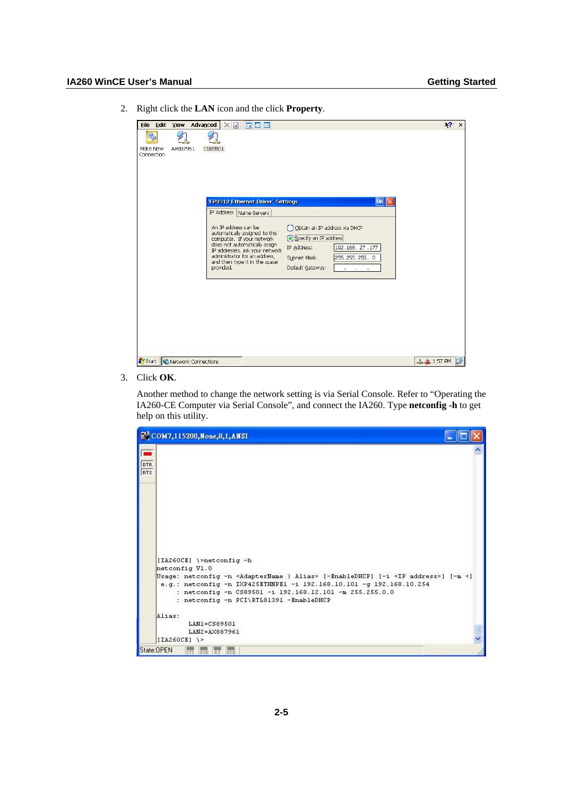- File Edit View Advanced X D F E  $\sqrt{2}$   $\times$ 鴨 乳 乳 Make New<br>Connection AX887961 CS89501 'EP9312 Ethernet Driver' Settings  $\boxed{\text{OK}}$ IP Address Name Servers An IP address can be  $\begin{tabular}{ll} \textbf{An IP address can be} & \textbf{O} \textbf{D} \textbf{t} \textbf{a} \textbf{h} \textbf{a} \textbf{n} \textbf{b} \\ \textbf{a} \textbf{u} \textbf{c} \textbf{m} \textbf{b} \textbf{c} \textbf{c} \textbf{b} \textbf{c} \textbf{c} \textbf{b} \textbf{c} \textbf{c} \textbf{c} \textbf{b} \textbf{c} \textbf{c} \textbf{c} \textbf{b} \textbf{c} \textbf{c} \textbf{c}$ O Obtain an IP address via DHCP Specify an IP address 192.168.27.177 Subnet Mask: 255.255.255.0 Default Gateway: Start Network Connections 上半 1:57 PM 图
- 2. Right click the **LAN** icon and the click **Property**.

3. Click **OK**.

Another method to change the network setting is via Serial Console. Refer to "Operating the IA260-CE Computer via Serial Console", and connect the IA260. Type **netconfig -h** to get help on this utility.

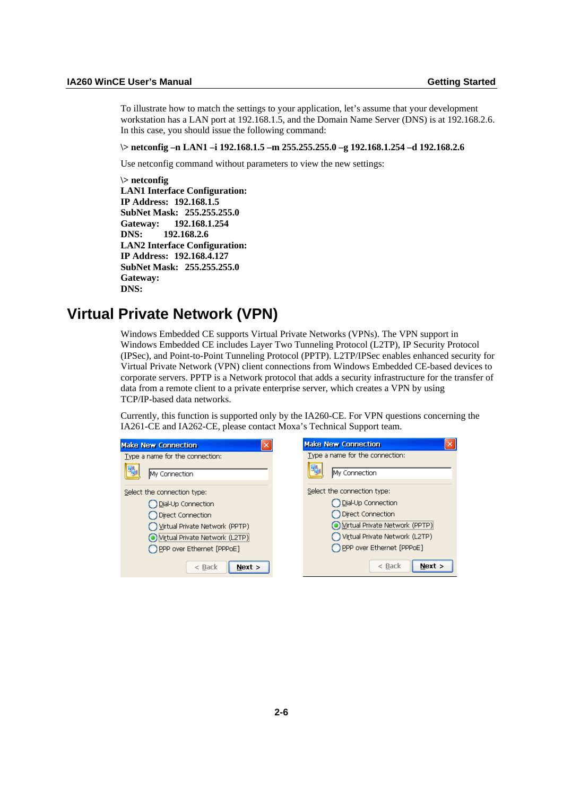<span id="page-14-0"></span>To illustrate how to match the settings to your application, let's assume that your development workstation has a LAN port at 192.168.1.5, and the Domain Name Server (DNS) is at 192.168.2.6. In this case, you should issue the following command:

#### **\> netconfig –n LAN1 –i 192.168.1.5 –m 255.255.255.0 –g 192.168.1.254 –d 192.168.2.6**

Use netconfig command without parameters to view the new settings:

**\> netconfig LAN1 Interface Configuration: IP Address: 192.168.1.5 SubNet Mask: 255.255.255.0 Gateway: 192.168.1.254 DNS: 192.168.2.6 LAN2 Interface Configuration: IP Address: 192.168.4.127 SubNet Mask: 255.255.255.0 Gateway: DNS:** 

### <span id="page-14-1"></span>**Virtual Private Network (VPN)**

Windows Embedded CE supports Virtual Private Networks (VPNs). The VPN support in Windows Embedded CE includes Layer Two Tunneling Protocol (L2TP), IP Security Protocol (IPSec), and Point-to-Point Tunneling Protocol (PPTP). L2TP/IPSec enables enhanced security for Virtual Private Network (VPN) client connections from Windows Embedded CE-based devices to corporate servers. PPTP is a Network protocol that adds a security infrastructure for the transfer of data from a remote client to a private enterprise server, which creates a VPN by using TCP/IP-based data networks.

Currently, this function is supported only by the IA260-CE. For VPN questions concerning the IA261-CE and IA262-CE, please contact Moxa's Technical Support team.

| <b>Make New Connection</b>      | <b>Make New Connection</b>      |
|---------------------------------|---------------------------------|
| Type a name for the connection: | Type a name for the connection: |
| My Connection                   | My Connection                   |
| Select the connection type:     | Select the connection type:     |
| Dial-Up Connection              | Dial-Up Connection              |
| <b>Direct Connection</b>        | Direct Connection               |
| Virtual Private Network (PPTP)  | Mirtual Private Network (PPTP)  |
| Wirtual Private Network (L2TP): | Virtual Private Network (L2TP)  |
| PPP over Ethernet [PPPoE]       | PPP over Ethernet [PPPoE]       |
| $<$ Back<br>Next >              | Next ><br>$\leq$ Back           |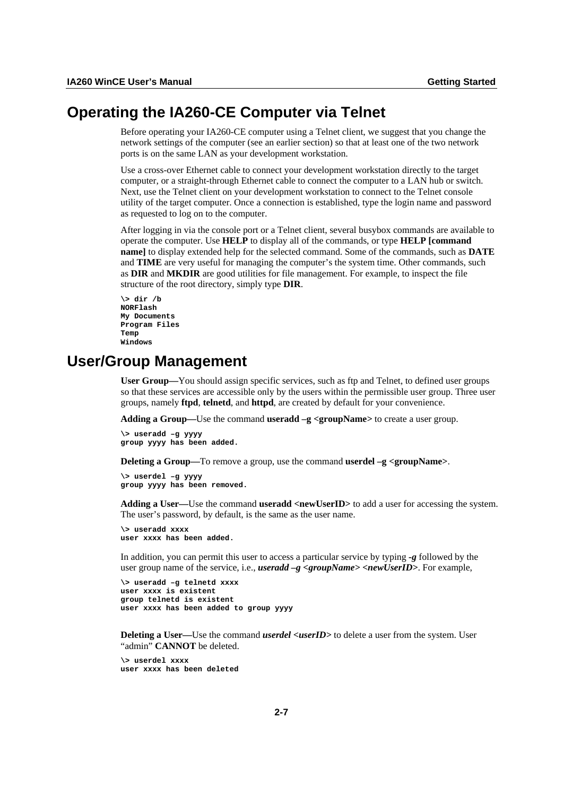# <span id="page-15-1"></span><span id="page-15-0"></span>**Operating the IA260-CE Computer via Telnet**

Before operating your IA260-CE computer using a Telnet client, we suggest that you change the network settings of the computer (see an earlier section) so that at least one of the two network ports is on the same LAN as your development workstation.

Use a cross-over Ethernet cable to connect your development workstation directly to the target computer, or a straight-through Ethernet cable to connect the computer to a LAN hub or switch. Next, use the Telnet client on your development workstation to connect to the Telnet console utility of the target computer. Once a connection is established, type the login name and password as requested to log on to the computer.

After logging in via the console port or a Telnet client, several busybox commands are available to operate the computer. Use **HELP** to display all of the commands, or type **HELP [command name]** to display extended help for the selected command. Some of the commands, such as **DATE** and **TIME** are very useful for managing the computer's the system time. Other commands, such as **DIR** and **MKDIR** are good utilities for file management. For example, to inspect the file structure of the root directory, simply type **DIR**.

```
\> dir /b 
NORFlash 
My Documents 
Program Files 
Temp 
Windows
```
### <span id="page-15-2"></span>**User/Group Management**

**User Group—**You should assign specific services, such as ftp and Telnet, to defined user groups so that these services are accessible only by the users within the permissible user group. Three user groups, namely **ftpd**, **telnetd**, and **httpd**, are created by default for your convenience.

**Adding a Group—**Use the command **useradd –g <groupName***>* to create a user group.

**\> useradd –g yyyy group yyyy has been added.** 

**Deleting a Group—To remove a group, use the command <b>userdel** –**g** <**groupName**>.

**\> userdel –g yyyy group yyyy has been removed.** 

Adding a User—Use the command **useradd** <newUserID> to add a user for accessing the system. The user's password, by default, is the same as the user name.

**\> useradd xxxx user xxxx has been added.** 

In addition, you can permit this user to access a particular service by typing *-g* followed by the user group name of the service, i.e., *useradd –g <groupName>* **<***new UserID***>**. For example,

```
\> useradd –g telnetd xxxx 
user xxxx is existent 
group telnetd is existent 
user xxxx has been added to group yyyy
```
**Deleting a User—Use the command** *userdel <userID***>** to delete a user from the system. User "admin" **CANNOT** be deleted.

**\> userdel xxxx user xxxx has been deleted**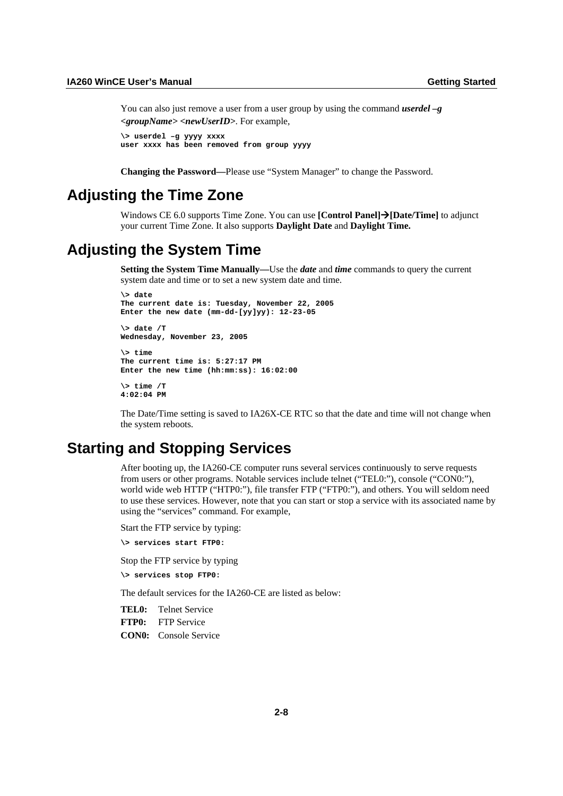<span id="page-16-0"></span>You can also just remove a user from a user group by using the command *userdel –g <groupName> <newUserID>*. For example,

```
\> userdel –g yyyy xxxx 
user xxxx has been removed from group yyyy
```
**Changing the Password—**Please use "System Manager" to change the Password.

## <span id="page-16-1"></span>**Adjusting the Time Zone**

Windows CE 6.0 supports Time Zone. You can use **[Control Panel]→[Date/Time]** to adjunct your current Time Zone. It also supports **Daylight Date** and **Daylight Time.** 

# <span id="page-16-2"></span>**Adjusting the System Time**

**Setting the System Time Manually—**Use the *date* and *time* commands to query the current system date and time or to set a new system date and time.

```
\> date 
The current date is: Tuesday, November 22, 2005 
Enter the new date (mm-dd-[yy]yy): 12-23-05
```
**\> date /T Wednesday, November 23, 2005 \> time The current time is: 5:27:17 PM Enter the new time (hh:mm:ss): 16:02:00** 

```
\> time /T 
4:02:04 PM
```
The Date/Time setting is saved to IA26X-CE RTC so that the date and time will not change when the system reboots.

### <span id="page-16-3"></span>**Starting and Stopping Services**

After booting up, the IA260-CE computer runs several services continuously to serve requests from users or other programs. Notable services include telnet ("TEL0:"), console ("CON0:"), world wide web HTTP ("HTP0:"), file transfer FTP ("FTP0:"), and others. You will seldom need to use these services. However, note that you can start or stop a service with its associated name by using the "services" command. For example,

Start the FTP service by typing:

**\> services start FTP0:** 

Stop the FTP service by typing

**\> services stop FTP0:** 

The default services for the IA260-CE are listed as below:

**TEL0:** Telnet Service **FTP0:** FTP Service

**CON0:** Console Service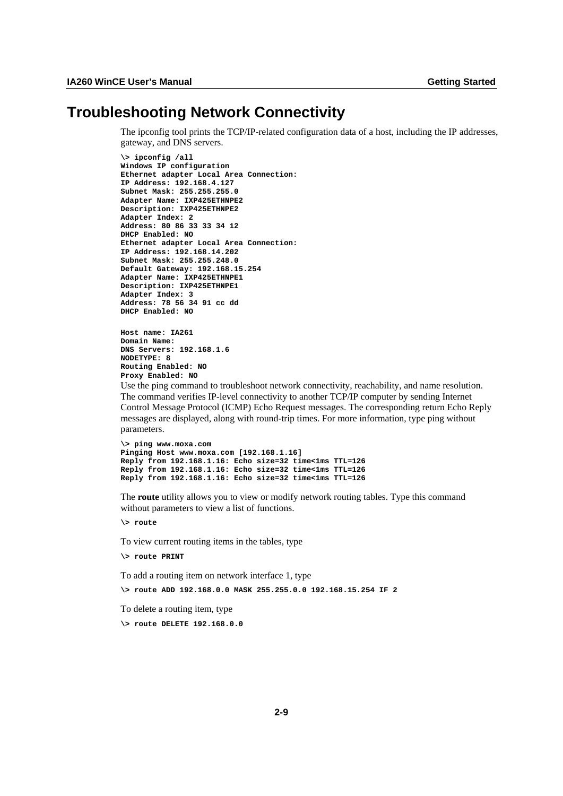## <span id="page-17-1"></span><span id="page-17-0"></span>**Troubleshooting Network Connectivity**

The ipconfig tool prints the TCP/IP-related configuration data of a host, including the IP addresses, gateway, and DNS servers.

```
\> ipconfig /all 
Windows IP configuration 
Ethernet adapter Local Area Connection: 
IP Address: 192.168.4.127 
Subnet Mask: 255.255.255.0 
Adapter Name: IXP425ETHNPE2 
Description: IXP425ETHNPE2 
Adapter Index: 2 
Address: 80 86 33 33 34 12 
DHCP Enabled: NO 
Ethernet adapter Local Area Connection: 
IP Address: 192.168.14.202 
Subnet Mask: 255.255.248.0 
Default Gateway: 192.168.15.254 
Adapter Name: IXP425ETHNPE1 
Description: IXP425ETHNPE1 
Adapter Index: 3 
Address: 78 56 34 91 cc dd 
DHCP Enabled: NO
```

```
Host name: IA261 
Domain Name: 
DNS Servers: 192.168.1.6 
NODETYPE: 8 
Routing Enabled: NO 
Proxy Enabled: NO
```
Use the ping command to troubleshoot network connectivity, reachability, and name resolution. The command verifies IP-level connectivity to another TCP/IP computer by sending Internet Control Message Protocol (ICMP) Echo Request messages. The corresponding return Echo Reply messages are displayed, along with round-trip times. For more information, type ping without parameters.

```
\> ping www.moxa.com 
Pinging Host www.moxa.com [192.168.1.16] 
Reply from 192.168.1.16: Echo size=32 time<1ms TTL=126 
Reply from 192.168.1.16: Echo size=32 time<1ms TTL=126 
Reply from 192.168.1.16: Echo size=32 time<1ms TTL=126
```
The **route** utility allows you to view or modify network routing tables. Type this command without parameters to view a list of functions.

**\> route** 

To view current routing items in the tables, type

**\> route PRINT** 

To add a routing item on network interface 1, type

**\> route ADD 192.168.0.0 MASK 255.255.0.0 192.168.15.254 IF 2** 

To delete a routing item, type

**\> route DELETE 192.168.0.0**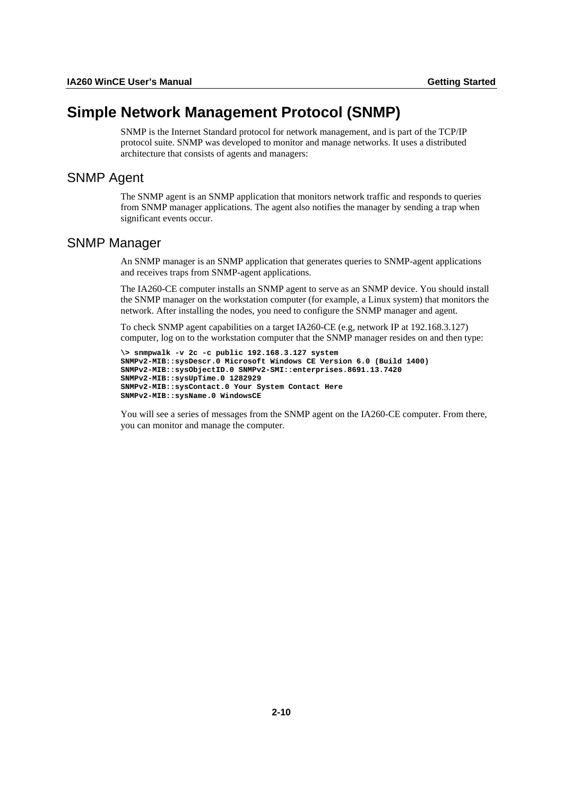# <span id="page-18-1"></span><span id="page-18-0"></span>**Simple Network Management Protocol (SNMP)**

SNMP is the Internet Standard protocol for network management, and is part of the TCP/IP protocol suite. SNMP was developed to monitor and manage networks. It uses a distributed architecture that consists of agents and managers:

### <span id="page-18-2"></span>SNMP Agent

The SNMP agent is an SNMP application that monitors network traffic and responds to queries from SNMP manager applications. The agent also notifies the manager by sending a trap when significant events occur.

### <span id="page-18-3"></span>SNMP Manager

An SNMP manager is an SNMP application that generates queries to SNMP-agent applications and receives traps from SNMP-agent applications.

The IA260-CE computer installs an SNMP agent to serve as an SNMP device. You should install the SNMP manager on the workstation computer (for example, a Linux system) that monitors the network. After installing the nodes, you need to configure the SNMP manager and agent.

To check SNMP agent capabilities on a target IA260-CE (e.g, network IP at 192.168.3.127) computer, log on to the workstation computer that the SNMP manager resides on and then type:

```
\> snmpwalk -v 2c -c public 192.168.3.127 system 
SNMPv2-MIB::sysDescr.0 Microsoft Windows CE Version 6.0 (Build 1400) 
SNMPv2-MIB::sysObjectID.0 SNMPv2-SMI::enterprises.8691.13.7420 
SNMPv2-MIB::sysUpTime.0 1282929 
SNMPv2-MIB::sysContact.0 Your System Contact Here 
SNMPv2-MIB::sysName.0 WindowsCE
```
You will see a series of messages from the SNMP agent on the IA260-CE computer. From there, you can monitor and manage the computer.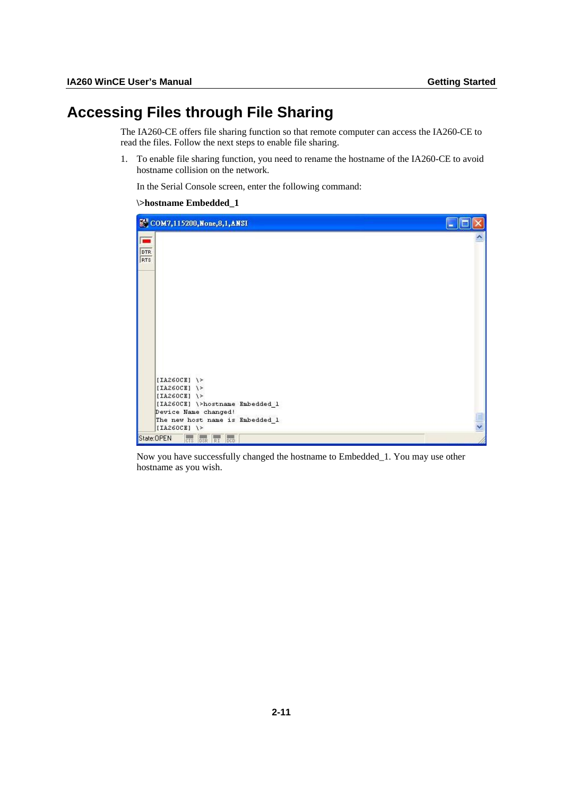# <span id="page-19-1"></span><span id="page-19-0"></span>**Accessing Files through File Sharing**

The IA260-CE offers file sharing function so that remote computer can access the IA260-CE to read the files. Follow the next steps to enable file sharing.

1. To enable file sharing function, you need to rename the hostname of the IA260-CE to avoid hostname collision on the network.

In the Serial Console screen, enter the following command:

#### **\>hostname Embedded\_1**

| ECOM7,115200, None, 8, 1, ANSI                                              | P |
|-----------------------------------------------------------------------------|---|
| DTR<br>RTS                                                                  |   |
|                                                                             |   |
|                                                                             |   |
| [IA260CE] $\rightarrow$                                                     |   |
| [IA260CE] $\$<br>[IA260CE] $\rightarrow$<br>[IA260CE] \>hostname Embedded_1 |   |
| Device Name changed!<br>The new host name is Embedded 1                     |   |
| [IA260CE] $\$<br>State:OPEN<br>CTS OSR RI DCD                               |   |

Now you have successfully changed the hostname to Embedded\_1. You may use other hostname as you wish.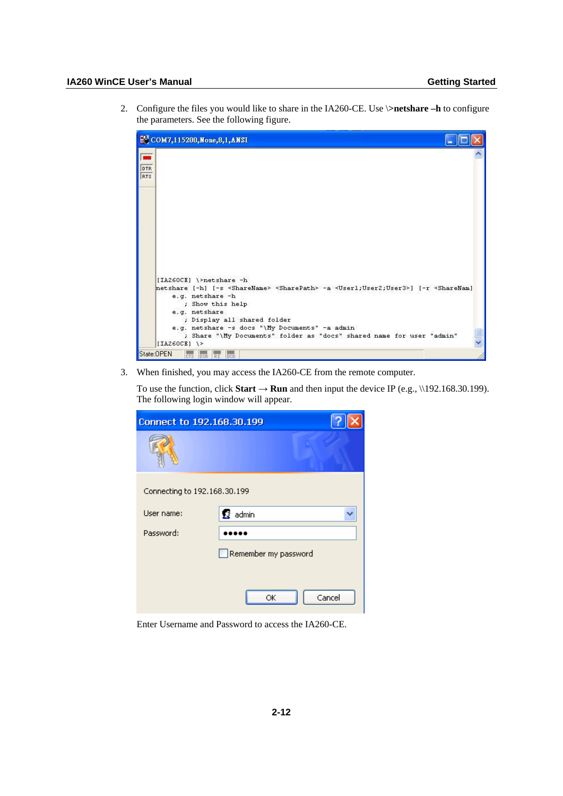#### **IA260 WinCE User's Manual Getting Started**

2. Configure the files you would like to share in the IA260-CE. Use \**>netshare –h** to configure the parameters. See the following figure.

|                                     | <sup>2</sup> СОМ7,115200, None, 8,1, ANSI                                                                                                                                                                                                                                                                                                                                                                                             |  |
|-------------------------------------|---------------------------------------------------------------------------------------------------------------------------------------------------------------------------------------------------------------------------------------------------------------------------------------------------------------------------------------------------------------------------------------------------------------------------------------|--|
| $\blacksquare$<br><b>DTR</b><br>RTS |                                                                                                                                                                                                                                                                                                                                                                                                                                       |  |
|                                     | [IA260CE] \>netshare -h<br>netshare [-h] [-s <sharename> <sharepath> -a <user1;user2;user3>] [-r <sharenam]<br>e.g. netshare -h<br/>; Show this help<br/>e.g. netshare<br/>; Display all shared folder<br/>e.g. netshare -s docs "\My Documents" -a admin<br/>; Share "\My Documents" folder as "docs" shared name for user "admin"<br/>[IA260CE] <math>\rightarrow</math></sharenam]<br></user1;user2;user3></sharepath></sharename> |  |
|                                     | State: OPEN<br>beb<br><b>CTS</b><br>RI<br>DSR                                                                                                                                                                                                                                                                                                                                                                                         |  |

3. When finished, you may access the IA260-CE from the remote computer.

To use the function, click **Start**  $\rightarrow$  **Run** and then input the device IP (e.g., \\192.168.30.199). The following login window will appear.

| Connect to 192,168,30,199    |                      |        |
|------------------------------|----------------------|--------|
|                              |                      |        |
| Connecting to 192.168.30.199 |                      |        |
| User name:                   | 22 admin             |        |
| Password:                    |                      |        |
|                              | Remember my password |        |
|                              | ОК                   | Cancel |

Enter Username and Password to access the IA260-CE.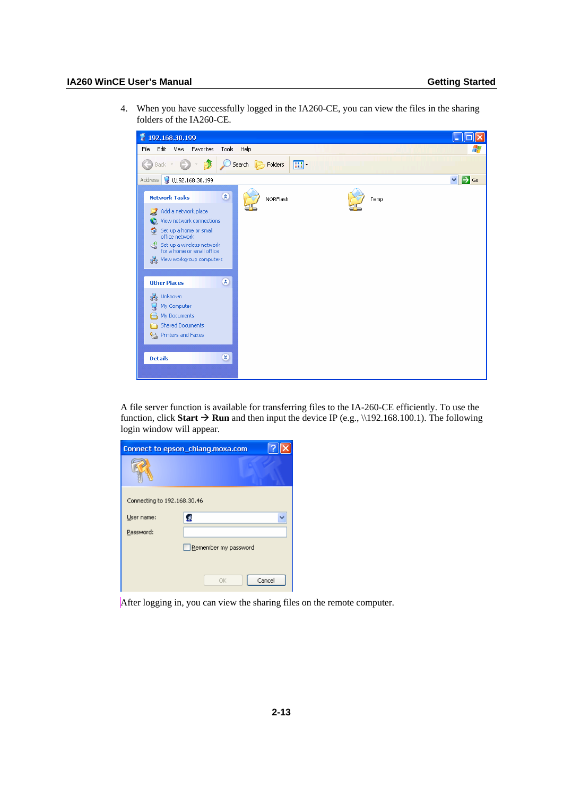#### **IA260 WinCE User's Manual Getting Started**

4. When you have successfully logged in the IA260-CE, you can view the files in the sharing folders of the IA260-CE.



A file server function is available for transferring files to the IA-260-CE efficiently. To use the function, click **Start**  $\rightarrow$  **Run** and then input the device IP (e.g., \\192.168.100.1). The following login window will appear.

|                             | Connect to epson_chiang.moxa.com |  |
|-----------------------------|----------------------------------|--|
|                             |                                  |  |
| Connecting to 192.168.30.46 |                                  |  |
| User name:                  | Á                                |  |
| Password:                   |                                  |  |
|                             | Remember my password             |  |
|                             |                                  |  |
|                             | Cancel<br>OK                     |  |

After logging in, you can view the sharing files on the remote computer.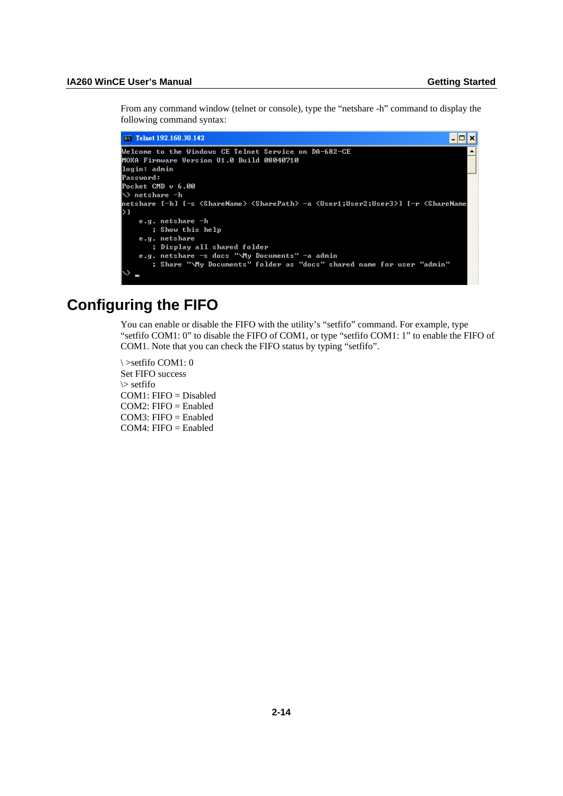<span id="page-22-0"></span>From any command window (telnet or console), type the "netshare -h" command to display the following command syntax:

```
\overline{\text{ew}} Telnet 192.168.30.142
                                                                                                           \overline{L} \overline{D} \overline{\bf x}Welcome to the Windows CE Telnet Service on DA-682-CE
MOXA Firmware Version V1.0 Build 08040710
login: admin
Password:
Pocket CMD v 6.00
◇> netshare -h
netshare [-h] [-s <ShareName> <SharePath> -a <User1;User2;User3>] [-r <ShareName
\overline{\phantom{0}}e.g. netshare -h
         ; Show this help
     e.g. netshare
         ; Display all shared folder
     e.g. netshare -s docs "\My Documents" -a admin<br>; Share "\My Documents" -a admin<br>; Share "\My Documents" folder as "docs" shared name for user "admin"
```
# <span id="page-22-1"></span>**Configuring the FIFO**

You can enable or disable the FIFO with the utility's "setfifo" command. For example, type "setfifo COM1: 0" to disable the FIFO of COM1, or type "setfifo COM1: 1" to enable the FIFO of COM1. Note that you can check the FIFO status by typing "setfifo".

\ >setfifo COM1: 0 Set FIFO success \> setfifo COM1: FIFO = Disabled COM2: FIFO = Enabled COM3: FIFO = Enabled  $COM4: FIFO = Enabeled$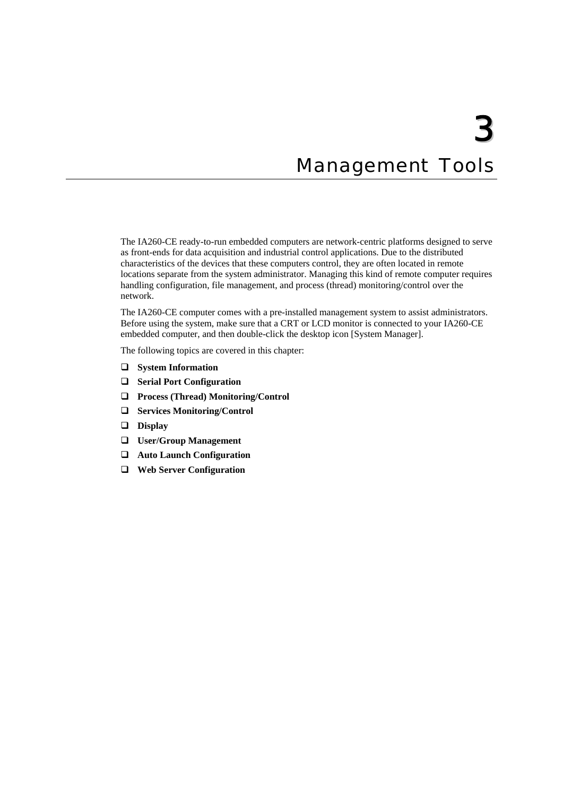# **Management Tools**

<span id="page-23-0"></span>The IA260-CE ready-to-run embedded computers are network-centric platforms designed to serve as front-ends for data acquisition and industrial control applications. Due to the distributed characteristics of the devices that these computers control, they are often located in remote locations separate from the system administrator. Managing this kind of remote computer requires handling configuration, file management, and process (thread) monitoring/control over the network.

The IA260-CE computer comes with a pre-installed management system to assist administrators. Before using the system, make sure that a CRT or LCD monitor is connected to your IA260-CE embedded computer, and then double-click the desktop icon [System Manager].

The following topics are covered in this chapter:

- **[System Information](#page-24-1)**
- **[Serial Port Configuration](#page-24-2)**
- **[Process \(Thread\) Monitoring/Control](#page-25-1)**
- **[Services Monitoring/Control](#page-25-2)**
- **[Display](#page-26-1)**
- **[User/Group Management](#page-27-1)**
- **[Auto Launch Configuration](#page-28-1)**
- **[Web Server Configuration](#page-28-2)**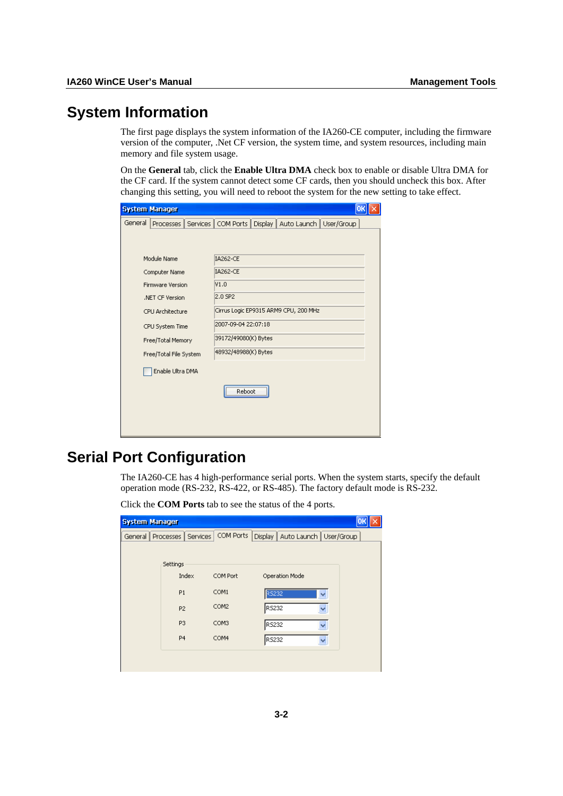# <span id="page-24-1"></span><span id="page-24-0"></span>**System Information**

The first page displays the system information of the IA260-CE computer, including the firmware version of the computer, .Net CF version, the system time, and system resources, including main memory and file system usage.

On the **General** tab, click the **Enable Ultra DMA** check box to enable or disable Ultra DMA for the CF card. If the system cannot detect some CF cards, then you should uncheck this box. After changing this setting, you will need to reboot the system for the new setting to take effect.

|                        | <b>System Manager</b>   |                      |                                       |  |                                    |  | o |
|------------------------|-------------------------|----------------------|---------------------------------------|--|------------------------------------|--|---|
| General                | Processes               |                      | Services   COM Ports                  |  | Display   Auto Launch   User/Group |  |   |
|                        |                         |                      |                                       |  |                                    |  |   |
|                        | Module Name             |                      | <b>IA262-CE</b>                       |  |                                    |  |   |
|                        | Computer Name           |                      | <b>IA262-CE</b>                       |  |                                    |  |   |
|                        | <b>Firmware Version</b> |                      | V1.0                                  |  |                                    |  |   |
|                        | .NET CF Version         |                      | 2.0 SP2                               |  |                                    |  |   |
|                        | CPU Architecture        |                      | Cirrus Logic EP9315 ARM9 CPU, 200 MHz |  |                                    |  |   |
|                        | CPU System Time         |                      | 2007-09-04 22:07:18                   |  |                                    |  |   |
| Free/Total Memory      |                         |                      | 39172/49080(K) Bytes                  |  |                                    |  |   |
| Free/Total File System |                         | 48932/48988(K) Bytes |                                       |  |                                    |  |   |
|                        | Enable Ultra DMA        |                      |                                       |  |                                    |  |   |
|                        |                         |                      | Reboot                                |  |                                    |  |   |
|                        |                         |                      |                                       |  |                                    |  |   |
|                        |                         |                      |                                       |  |                                    |  |   |

# <span id="page-24-2"></span>**Serial Port Configuration**

The IA260-CE has 4 high-performance serial ports. When the system starts, specify the default operation mode (RS-232, RS-422, or RS-485). The factory default mode is RS-232.

Click the **COM Ports** tab to see the status of the 4 ports.

| <b>System Manager</b> |                       |           |                                    |  |
|-----------------------|-----------------------|-----------|------------------------------------|--|
| General               | Services<br>Processes | COM Ports | Display   Auto Launch   User/Group |  |
|                       |                       |           |                                    |  |
|                       | Settings              |           |                                    |  |
|                       | Index                 | COM Port  | Operation Mode                     |  |
|                       | P <sub>1</sub>        | COM1      | <b>RS232</b>                       |  |
|                       |                       | COM2      |                                    |  |
|                       | P <sub>2</sub>        |           | RS232                              |  |
|                       | P <sub>3</sub>        | COM3      | RS232                              |  |
|                       | P <sub>4</sub>        | COM4      | RS232                              |  |
|                       |                       |           |                                    |  |
|                       |                       |           |                                    |  |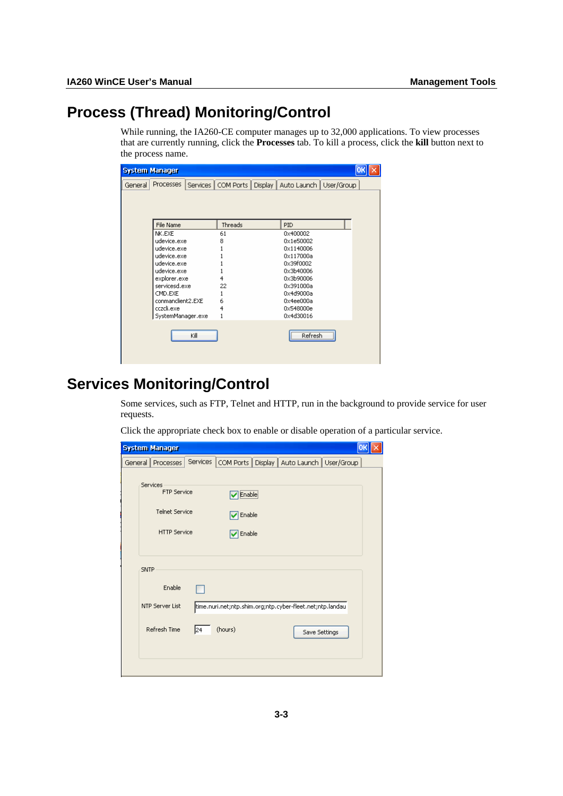# <span id="page-25-1"></span><span id="page-25-0"></span>**Process (Thread) Monitoring/Control**

While running, the IA260-CE computer manages up to 32,000 applications. To view processes that are currently running, click the **Processes** tab. To kill a process, click the **kill** button next to the process name.

| <b>System Manager</b> |                              |                      |                          |  |
|-----------------------|------------------------------|----------------------|--------------------------|--|
| General               | <b>Processes</b><br>Services | COM Ports<br>Display | Auto Launch   User/Group |  |
|                       |                              |                      |                          |  |
|                       |                              |                      |                          |  |
|                       |                              |                      |                          |  |
|                       | File Name                    | Threads              | <b>PID</b>               |  |
|                       | NK.EXE                       | 61                   | 0x400002                 |  |
|                       | udevice.exe                  | 8                    | 0x1e50002                |  |
|                       | udevice.exe                  |                      | 0x1140006                |  |
|                       | udevice.exe                  |                      | 0x117000a                |  |
|                       | udevice.exe                  |                      | 0x39f0002                |  |
|                       | udevice.exe                  |                      | 0x3b40006                |  |
|                       | explorer.exe                 | 4                    | 0x3b90006                |  |
|                       | servicesd.exe                | 22                   | 0x391000a                |  |
|                       | CMD.EXE                      |                      | 0x4d9000a                |  |
|                       | conmandient2.EXE             | 6                    | 0x4ee000a                |  |
|                       | cczcli.exe                   | 4                    | 0x548000e                |  |
|                       | SystemManager.exe            |                      | 0x4d30016                |  |
|                       |                              |                      |                          |  |
|                       | Kill                         |                      | Refresh                  |  |
|                       |                              |                      |                          |  |
|                       |                              |                      |                          |  |
|                       |                              |                      |                          |  |

# <span id="page-25-2"></span>**Services Monitoring/Control**

Some services, such as FTP, Telnet and HTTP, run in the background to provide service for user requests.

Click the appropriate check box to enable or disable operation of a particular service.

| <b>System Manager</b>   |          |         |                                                           | Oŀ |
|-------------------------|----------|---------|-----------------------------------------------------------|----|
| General   Processes     | Services |         | COM Ports   Display   Auto Launch   User/Group            |    |
|                         |          |         |                                                           |    |
| Services<br>FTP Service |          | Enable  |                                                           |    |
| <b>Telnet Service</b>   |          | Enable  |                                                           |    |
| <b>HTTP</b> Service     |          | Enable  |                                                           |    |
|                         |          |         |                                                           |    |
| SNTP                    |          |         |                                                           |    |
| Enable                  |          |         |                                                           |    |
| <b>NTP Server List</b>  |          |         | time.nuri.net;ntp.shim.org;ntp.cyber-fleet.net;ntp.landau |    |
| Refresh Time            | 24       | (hours) | Save Settings                                             |    |
|                         |          |         |                                                           |    |
|                         |          |         |                                                           |    |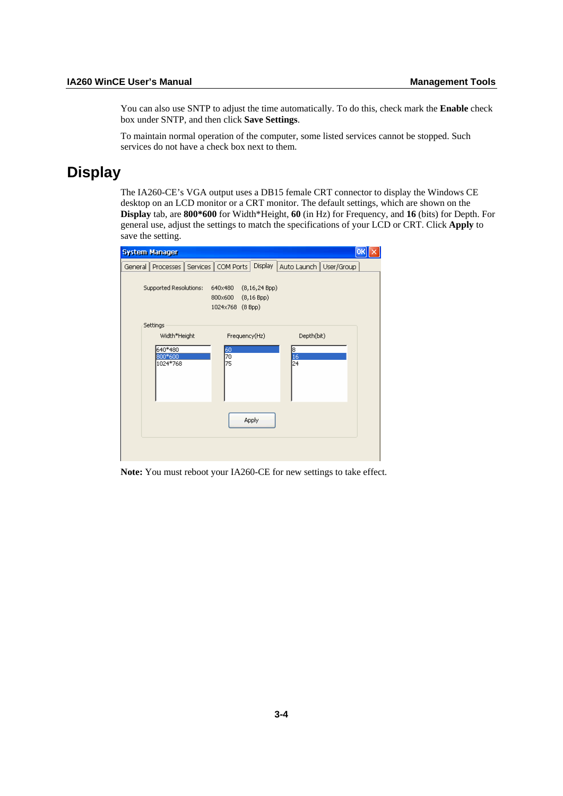<span id="page-26-0"></span>You can also use SNTP to adjust the time automatically. To do this, check mark the **Enable** check box under SNTP, and then click **Save Settings**.

To maintain normal operation of the computer, some listed services cannot be stopped. Such services do not have a check box next to them.

# <span id="page-26-1"></span>**Display**

The IA260-CE's VGA output uses a DB15 female CRT connector to display the Windows CE desktop on an LCD monitor or a CRT monitor. The default settings, which are shown on the **Display** tab, are **800\*600** for Width\*Height, **60** (in Hz) for Frequency, and **16** (bits) for Depth. For general use, adjust the settings to match the specifications of your LCD or CRT. Click **Apply** to save the setting.

| <b>System Manager</b>              |                                                                             | Ok                       |
|------------------------------------|-----------------------------------------------------------------------------|--------------------------|
| Services  <br>Processes<br>General | Display<br>COM Ports                                                        | Auto Launch   User/Group |
| Supported Resolutions:             | (8, 16, 24 Bpp)<br>640×480<br>(8, 16 Bpp)<br>800×600<br>1024x768<br>(8 Bpp) |                          |
| Settings<br>Width*Height           | Frequency(Hz)                                                               | Depth(bit)               |
| 640*480<br>800*600<br>1024*768     | $\frac{60}{70}$<br>75                                                       | 18<br>16<br>24           |
|                                    | Apply                                                                       |                          |
|                                    |                                                                             |                          |

**Note:** You must reboot your IA260-CE for new settings to take effect.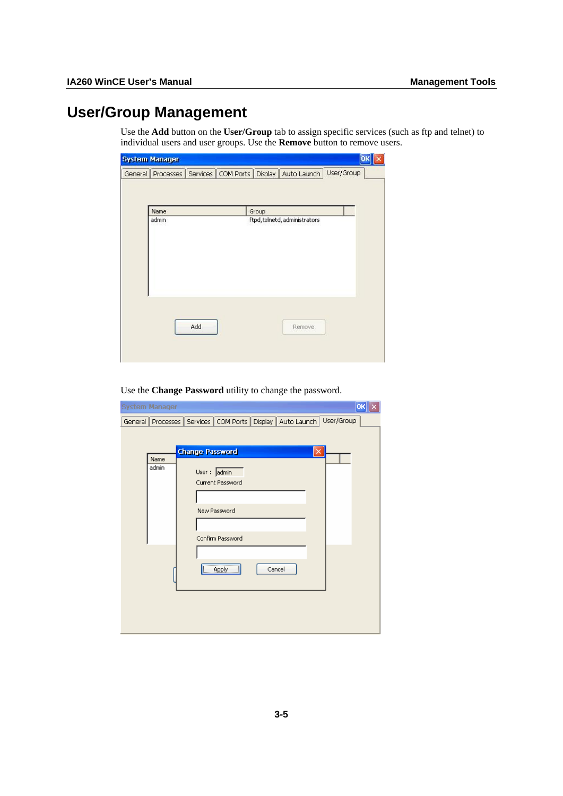# <span id="page-27-1"></span><span id="page-27-0"></span>**User/Group Management**

Use the **Add** button on the **User/Group** tab to assign specific services (such as ftp and telnet) to individual users and user groups. Use the **Remove** button to remove users.

| <b>System Manager</b> |     |       |                             |                                                                     | OK |
|-----------------------|-----|-------|-----------------------------|---------------------------------------------------------------------|----|
|                       |     |       |                             | General Processes Services COM Ports Display Auto Launch User/Group |    |
|                       |     |       |                             |                                                                     |    |
|                       |     |       |                             |                                                                     |    |
| Name                  |     | Group |                             |                                                                     |    |
| admin                 |     |       | ftpd,telnetd,administrators |                                                                     |    |
|                       |     |       |                             |                                                                     |    |
|                       |     |       |                             |                                                                     |    |
|                       |     |       |                             |                                                                     |    |
|                       |     |       |                             |                                                                     |    |
|                       |     |       |                             |                                                                     |    |
|                       |     |       |                             |                                                                     |    |
|                       |     |       |                             |                                                                     |    |
|                       |     |       |                             |                                                                     |    |
|                       | Add |       | Remove                      |                                                                     |    |
|                       |     |       |                             |                                                                     |    |
|                       |     |       |                             |                                                                     |    |
|                       |     |       |                             |                                                                     |    |

Use the **Change Password** utility to change the password.

| <b>System Manager</b> |                                                                                | OK |
|-----------------------|--------------------------------------------------------------------------------|----|
|                       | User/Group<br>General Processes   Services   COM Ports   Display   Auto Launch |    |
|                       |                                                                                |    |
|                       | <b>Change Password</b><br>×                                                    |    |
| Name                  |                                                                                |    |
| admin                 | User: admin                                                                    |    |
|                       | Current Password                                                               |    |
|                       |                                                                                |    |
|                       | New Password                                                                   |    |
|                       |                                                                                |    |
|                       | Confirm Password                                                               |    |
|                       |                                                                                |    |
|                       |                                                                                |    |
|                       | Apply<br>Cancel                                                                |    |
|                       |                                                                                |    |
|                       |                                                                                |    |
|                       |                                                                                |    |
|                       |                                                                                |    |
|                       |                                                                                |    |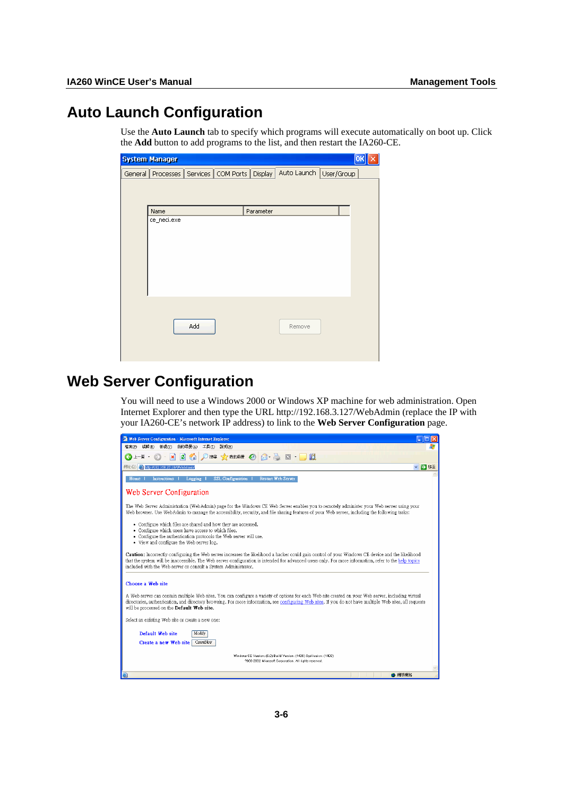# <span id="page-28-1"></span><span id="page-28-0"></span>**Auto Launch Configuration**

Use the **Auto Launch** tab to specify which programs will execute automatically on boot up. Click the **Add** button to add programs to the list, and then restart the IA260-CE.

|         | <b>System Manager</b> |     |                      |                |                        | OK |
|---------|-----------------------|-----|----------------------|----------------|------------------------|----|
| General | Processes             |     | Services   COM Ports | <b>Display</b> | Auto Launch User/Group |    |
|         |                       |     |                      |                |                        |    |
|         |                       |     |                      |                |                        |    |
|         | Name                  |     |                      | Parameter      |                        |    |
|         | ce_neci.exe           |     |                      |                |                        |    |
|         |                       |     |                      |                |                        |    |
|         |                       |     |                      |                |                        |    |
|         |                       |     |                      |                |                        |    |
|         |                       |     |                      |                |                        |    |
|         |                       |     |                      |                |                        |    |
|         |                       |     |                      |                |                        |    |
|         |                       |     |                      |                |                        |    |
|         |                       | Add |                      |                | Remove                 |    |
|         |                       |     |                      |                |                        |    |
|         |                       |     |                      |                |                        |    |
|         |                       |     |                      |                |                        |    |

# <span id="page-28-2"></span>**Web Server Configuration**

You will need to use a Windows 2000 or Windows XP machine for web administration. Open Internet Explorer and then type the URL<http://192.168.3.127/WebAdmin> (replace the IP with your IA260-CE's network IP address) to link to the **Web Server Configuration** page.

| Web Server Configuration - Microsoft Internet Explorer                                                                                                                                                                                                                                                                                                                                |
|---------------------------------------------------------------------------------------------------------------------------------------------------------------------------------------------------------------------------------------------------------------------------------------------------------------------------------------------------------------------------------------|
| 我的最爱(A) 工具(T) 説明(H)<br>檢視(V)<br>編輯(E)<br>檔案(F)                                                                                                                                                                                                                                                                                                                                        |
| z <br>○搜尋 ママ 我的最愛 (2)<br>口的<br>l×)<br>同<br>□上一頁 →                                                                                                                                                                                                                                                                                                                                     |
| http://192.168.27.18/WebAdmin/<br>■ 移至<br>網址(D)<br>$\checkmark$                                                                                                                                                                                                                                                                                                                       |
| <b>SSL Configuration</b><br>Restart Web Server<br><b>Instructions</b><br>Logging<br>Home                                                                                                                                                                                                                                                                                              |
| Web Server Configuration                                                                                                                                                                                                                                                                                                                                                              |
| The Web Server Administration (WebAdmin) page for the Windows CE Web Server enables you to remotely administer your Web server using your<br>Web browser. Use WebAdmin to manage the accessibility, security, and file sharing features of your Web server, including the following tasks:                                                                                            |
| • Configure which files are shared and how they are accessed.<br>• Configure which users have access to which files.<br>• Configure the authentication protocols the Web server will use.<br>• View and configure the Web server log.                                                                                                                                                 |
| <b>Caution:</b> Incorrectly configuring the Web server increases the likelihood a hacker could gain control of your Windows CE device and the likelihood<br>that the system will be inaccessible. The Web server configuration is intended for advanced users only. For more information, refer to the help topics<br>included with the Web server or consult a System Administrator. |
| Choose a Web site                                                                                                                                                                                                                                                                                                                                                                     |
| A Web server can contain multiple Web sites. You can configure a variety of options for each Web site created on your Web server, including virtual<br>directories, authentication, and directory browsing. For more information, see configuring Web sites. If you do not have multiple Web sites, all requests<br>will be processed on the Default Web site.                        |
| Select an existing Web site or create a new one:                                                                                                                                                                                                                                                                                                                                      |
| Default Web site<br>Modify<br>Create a new Web site<br>CreateNew                                                                                                                                                                                                                                                                                                                      |
| Windows CE Version: (5.0) Build Version: (1400) SysVersion: (1400)<br>7000-2002 Microsoft Corporation. All rights reserved.                                                                                                                                                                                                                                                           |
| ● 網際網路<br>ø                                                                                                                                                                                                                                                                                                                                                                           |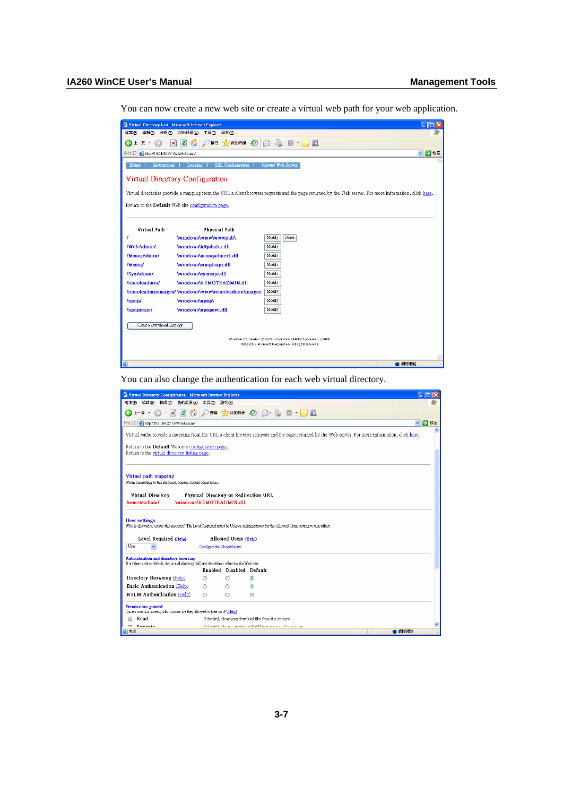You can now create a new web site or create a virtual web path for your web application.

|                                         | Virtual Directory List - Microsoft Internet Explorer                                                                                                    |
|-----------------------------------------|---------------------------------------------------------------------------------------------------------------------------------------------------------|
| 検視(V)<br>檔案(E)<br>編輯(E)                 | 我的最愛(A)<br>工具(I)<br>説明(H)                                                                                                                               |
| 上一頁→                                    | 搜尋 マス 我的最爱 (2)<br>飽<br>$\Box$                                                                                                                           |
| http://192.168.27.18/WebAdmin/<br>網址(D) | ▽ → 移至                                                                                                                                                  |
| Home<br><b>Instructions</b>             | <b>SSL Configuration</b><br><b>Restart Web Server</b><br>Logging                                                                                        |
|                                         | Virtual Directory Configuration                                                                                                                         |
|                                         | Virtual directories provide a mapping from the URL a client browser requests and the page returned by the Web server. For more information, click here. |
|                                         | Return to the Default Web site configuration page.                                                                                                      |
|                                         |                                                                                                                                                         |
|                                         |                                                                                                                                                         |
| Virtual Path                            | Physical Path                                                                                                                                           |
|                                         | \windows\www\wwwpub\<br>Modify<br><b>Delete</b>                                                                                                         |
| /WebAdmin/                              | \windows\httpdadm.dll<br>Modify                                                                                                                         |
| /MsmgAdmin/                             | \windows\msmgadmext.dll<br>Modify                                                                                                                       |
| /Msma/                                  | \windows\stmpIsapi.dll<br>Modify                                                                                                                        |
| /SysAdmin/                              | \windows\sysisapi.dll<br>Modify                                                                                                                         |
| /remoteadmin/                           | \windows\REMOTEADMIN.dll<br>Modify                                                                                                                      |
|                                         | /remoteadminimages/ \windows\www\remoteadmin\images<br>Modify                                                                                           |
| /upnp/                                  | \windows\upnp\<br>Modify                                                                                                                                |
| /upnpisapi/                             | \windows\upnpsvc.dll<br>Modify                                                                                                                          |
| Create a new virtual directory          |                                                                                                                                                         |
|                                         | Windows CE Version: (5.0) Build Version: (1400) SysVersion: (1400)                                                                                      |
|                                         | 7000-2002 Microsoft Corporation. All rights reserved.                                                                                                   |
|                                         |                                                                                                                                                         |
| e                                       | ● 網際網路                                                                                                                                                  |

You can also change the authentication for each web virtual directory.

| Virtual Directory Configuration - Microsoft Internet Explorer                                                                             |                             |                          |                                                                                                                                                   |
|-------------------------------------------------------------------------------------------------------------------------------------------|-----------------------------|--------------------------|---------------------------------------------------------------------------------------------------------------------------------------------------|
| 編輯(E) 檢視(V)<br>我的最愛(A)<br>檔案(F)                                                                                                           | 工具(T)                       | 説明(H)                    |                                                                                                                                                   |
| $\mathbf{x}$ 2 $\mathbf{c}$<br>$2L - \overline{A}$ $\cdot$ $\circ$ $\cdot$                                                                |                             |                          | ◎脾 ☆ 熱味 ② 8 · ◎ 8 · 13                                                                                                                            |
| 網址(D) http://192.168.27.18/WebAdmin/                                                                                                      |                             |                          | → 移至<br>$\checkmark$                                                                                                                              |
| Return to the Default Web site configuration page.                                                                                        |                             |                          | Virtual paths provide a mapping from the URL a client browser requests and the page returned by the Web server. For more information, click here. |
| Return to the virtual directory listing page.                                                                                             |                             |                          |                                                                                                                                                   |
| Virtual path mapping<br>When connecting to this resource, content should come from:                                                       |                             |                          |                                                                                                                                                   |
| Virtual Directory<br>/remoteadmin/<br>\windows\REMOTEADMIN.dll                                                                            |                             |                          | Physical Directory or Redirection URL                                                                                                             |
| <b>User settings</b>                                                                                                                      |                             |                          | Who is allowed to access this resource? The Level Required must be User or Administrator for the Allowed Users setting to take effect.            |
| Level Required (Help)                                                                                                                     |                             | Allowed Users (Help)     |                                                                                                                                                   |
| User                                                                                                                                      | Configure the allowed users |                          |                                                                                                                                                   |
| Authentication and directory browsing<br>If a value is set to default, the virtual directory will use the default value for the Web site. |                             |                          |                                                                                                                                                   |
|                                                                                                                                           |                             | Enabled Disabled Default |                                                                                                                                                   |
| Directory Browsing (Help)                                                                                                                 | O                           | O                        | $\odot$                                                                                                                                           |
| Basic Authentication (Help)                                                                                                               | ∩                           | ∩                        | $\circ$                                                                                                                                           |
| <b>NTLM Authentication (Help)</b>                                                                                                         | $\bigcirc$                  | Ο                        | $\circledcirc$                                                                                                                                    |
| Permissions granted<br>Once a user has access, what actions are they allowed to take on if? (Help)                                        |                             |                          |                                                                                                                                                   |
| Read<br>$\overline{\mathbf{v}}$                                                                                                           |                             |                          | If checked, clients may download files from this resource.                                                                                        |
| <b>Real</b><br>Events<br>(6) 完成                                                                                                           |                             |                          | If should allow a consequently ADI supervisors on this consequent<br>● 網際網路                                                                       |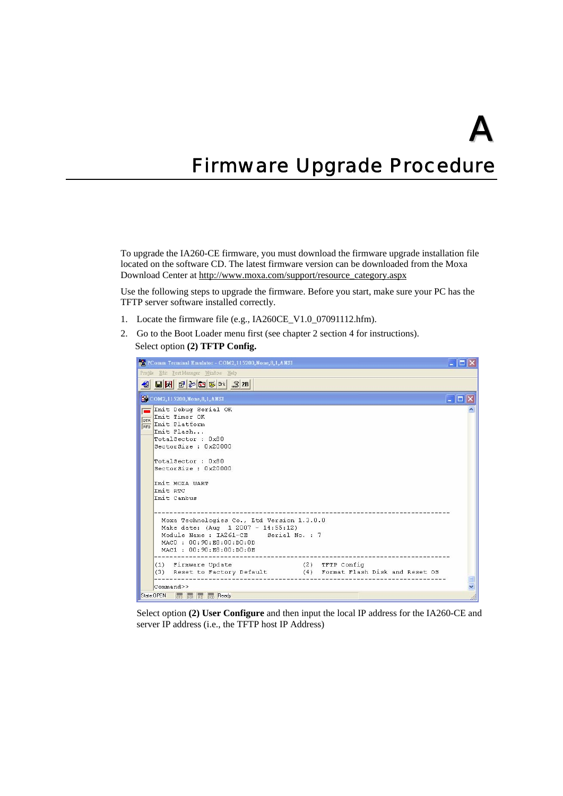# <span id="page-30-0"></span>**Firmware Upgrade Procedure**

To upgrade the IA260-CE firmware, you must download the firmware upgrade installation file located on the software CD. The latest firmware version can be downloaded from the Moxa Download Center at [http://www.moxa.com/support/resource\\_category.aspx](http://www.moxa.com/support/resource_category.aspx)

Use the following steps to upgrade the firmware. Before you start, make sure your PC has the TFTP server software installed correctly.

- 1. Locate the firmware file (e.g., IA260CE\_V1.0\_07091112.hfm).
- 2. Go to the Boot Loader menu first (see chapter 2 section 4 for instructions). Select option **(2) TFTP Config.**

| PS PComm Terminal Emulator - COM2,115200, None, 8,1, ANSI<br>$\blacksquare$ lo                                                                                                                             |                                        |
|------------------------------------------------------------------------------------------------------------------------------------------------------------------------------------------------------------|----------------------------------------|
| Profile Edit PortManager Window Help                                                                                                                                                                       |                                        |
|                                                                                                                                                                                                            |                                        |
| COM2,115200, None, 8, 1, ANSI                                                                                                                                                                              | $\blacksquare$ $\blacksquare$ $\times$ |
| Init Debug Serial OK<br>DTR Init Timer OK<br>Init Platform<br>RTS<br>Init Flash<br>TotalSector: 0x80<br>SectorSize: 0x20000<br>TotalSector: 0x80<br>SectorSize: 0x20000<br>Tnit MOXA HART                  |                                        |
| Init RTC<br>Init Canbus<br>Moxa Technologies Co., Ltd Version 1.3.0.0<br>Make date: (Aug 1 2007 - 14:55:12)<br>Module Name : IA261-CE Serial No. : 7<br>MACO: 00:90:E8:00:D0:0D<br>MAC1: 00:90:E8:00:D0:0E |                                        |
| (2) TFTP Config<br>(1) Firmware Update<br>(3) Reset to Factory Default (4) Format Flash Disk and Reset OS<br>Command>><br>State: OPEN<br>CTS DSR RT DCD Ready                                              |                                        |

Select option **(2) User Configure** and then input the local IP address for the IA260-CE and server IP address (i.e., the TFTP host IP Address)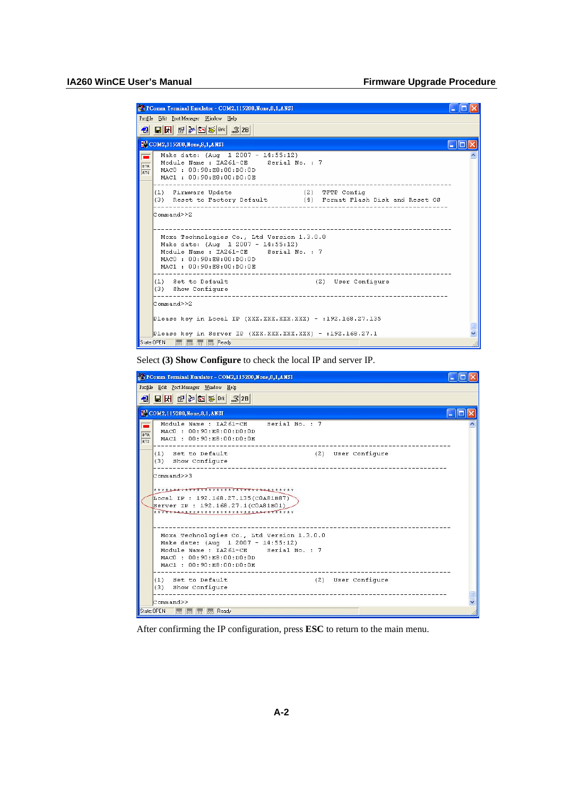| PComm Terminal Emulator - COM2,115200, None, 8, 1, ANSI                                                                                                                                       |  |
|-----------------------------------------------------------------------------------------------------------------------------------------------------------------------------------------------|--|
| Profile Edit PortManager Window Help                                                                                                                                                          |  |
| -3 日內 6 20 5 <sub>PK</sub> 3 28                                                                                                                                                               |  |
| COM2,115200, None, 8, 1, ANSI                                                                                                                                                                 |  |
| Make date: (Aug 1 2007 - 14:55:12)<br>Module Name : IA261-CE Serial No. : 7<br>DTR<br>MACO: 00:90:E8:00:D0:0D<br><b>RTS</b><br>MAC1: 00:90:E8:00:D0:0E<br>---------------------               |  |
| (2) TFTP Config<br>(1) Firmware Update<br>(3) Reset to Factory Default (4) Format Flash Disk and Reset OS                                                                                     |  |
| Command>>2<br>Moxa Technologies Co., Ltd Version 1.3.0.0<br>Make date: (Aug 1 2007 - 14:55:12)<br>Module Name : IA261-CE Serial No. : 7<br>MACO: 00:90:E8:00:D0:0D<br>MAC1: 00:90:E8:00:D0:0E |  |
| (1) Set to Default<br>(2) User Configure<br>(3) Show Configure                                                                                                                                |  |
| Command>>2                                                                                                                                                                                    |  |
| Please key in Local IP (XXX.XXX.XXX.XXX) - :192.168.27.135                                                                                                                                    |  |
| Please key in Server IP (XXX.XXX.XXX.XXX) - :192.168.27.1                                                                                                                                     |  |
| State: OPEN<br>DSR RI DCD Ready                                                                                                                                                               |  |

Select **(3) Show Configure** to check the local IP and server IP.

|                          | PComm Terminal Emulator - COM2,115200, None, 8, 1, ANSI                                                                                                                                |  |
|--------------------------|----------------------------------------------------------------------------------------------------------------------------------------------------------------------------------------|--|
|                          | Profile Edit Port Manager Window Help                                                                                                                                                  |  |
|                          | 4 HR 2005 RK 328                                                                                                                                                                       |  |
|                          | COM2,115200, None, 8,1, ANSI                                                                                                                                                           |  |
| <b>DTR</b><br><b>RTS</b> | Serial No. : 7<br>Module Name: TA261-CE<br>MACO: 00:90:E8:00:DO:0D<br>MAC1: 00:90:E8:00:D0:0E                                                                                          |  |
|                          | (2) User Configure<br>(1) Set to Default<br>(3) Show Configure                                                                                                                         |  |
|                          | Commonand>>3<br>***** <del>**************************</del> *****<br>Local IP : 192.168.27.135(COA81B87)<br>Server IP : 192.168.27.1(COA81BO1)<br>************************************ |  |
|                          | Moxa Technologies Co., Ltd Version 1.3.0.0<br>Make date: (Aug 1 2007 - 14:55:12)<br>Module Name : IA261-CE Serial No. : 7<br>MACO: 00:90:E8:00:D0:0D<br>MAC1: 00:90:E8:00:D0:0E        |  |
|                          | (2) User Configure<br>(1) Set to Default<br>(3) Show Configure                                                                                                                         |  |
|                          | Command>><br>State: OPEN<br><b>CTS</b> DSR RT DCD Ready                                                                                                                                |  |

After confirming the IP configuration, press **ESC** to return to the main menu.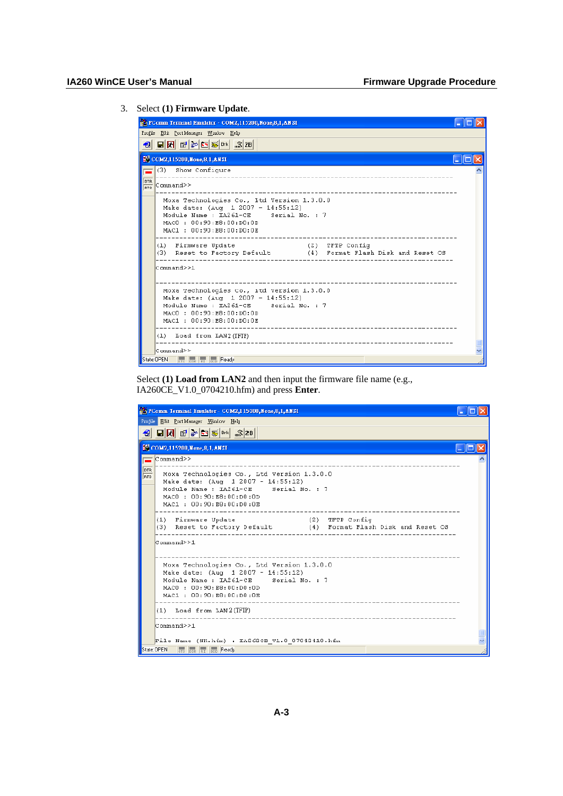#### 3. Select **(1) Firmware Update**.

| PComm Terminal Emulator - COM2,115200, None, 8,1, AN SI                                                                                                                                                           |  |
|-------------------------------------------------------------------------------------------------------------------------------------------------------------------------------------------------------------------|--|
| Profile Edit PortManager Window Help                                                                                                                                                                              |  |
| $\boxed{1}$ $\boxed{2}$ $\boxed{3}$ $\boxed{3}$ $\boxed{3}$ $\boxed{3}$ $\boxed{3}$ $\boxed{3}$ $\boxed{3}$ $\boxed{4}$ $\boxed{5}$ $\boxed{6}$ $\boxed{5}$ $\boxed{6}$ $\boxed{6}$ $\boxed{5}$ $\boxed{28}$<br>€ |  |
| ECOM2,115200, None, 8,1, ANSI<br><u>. 10</u>                                                                                                                                                                      |  |
| (3) Show Configure                                                                                                                                                                                                |  |
| DTR<br>Command>><br>RTS                                                                                                                                                                                           |  |
| Moxa Technologies Co., Itd Version 1.3.0.0<br>Make date: (Aug 1 2007 - 14:55:12)<br>Module Name : IA261-CE Serial No. : 7<br>MACO: 00:90:E8:00:D0:0D<br>MAC1: 00:90:E8:00:D0:0E                                   |  |
| (1) Firmware Update<br>(Z) TFTP Config<br>(3) Reset to Factory Default (4) Format Flash Disk and Reset OS                                                                                                         |  |
| Command>>1                                                                                                                                                                                                        |  |
| Moxa Technologies Co., Itd Version 1.3.0.0<br>Make date: (Aug. 1 2007 - 14:55:12)<br>Module Name : IA261-CE Serial No. : 7<br>MACD : 00:90:RB:00:00:0n<br>MAC1: 00:90:E8:00:D0:0E                                 |  |
| (1) Load from LAN2 (TFTP)                                                                                                                                                                                         |  |
| Command≻≻                                                                                                                                                                                                         |  |
| State: OPEN<br>CTS DSR RT DCD Ready                                                                                                                                                                               |  |

Select **(1) Load from LAN2** and then input the firmware file name (e.g., IA260CE\_V1.0\_0704210.hfm) and press **Enter**.

| PComm Terminal Emulator - COM2,115200,None,8,1,ANSI                                                                                                                                            |
|------------------------------------------------------------------------------------------------------------------------------------------------------------------------------------------------|
| Frofile Edit PortManager Window Help                                                                                                                                                           |
| €                                                                                                                                                                                              |
| COM2, 115200, None, 8, 1, ANSI                                                                                                                                                                 |
| $\mathbb{C}$ ommand $\geq$                                                                                                                                                                     |
| DTR<br>Moxa Technologies Co., Ltd Version 1.3.0.0<br>RTS<br>Make date: (Aug 1 2007 - 14:55:12)<br>Module Name : IA261-CE Serial No. : 7<br>MACO: 00:90:E8:00:D0:OD<br>MAC1 : 00:90:E8:00:D0:0E |
| (2) TFTP Config<br>(1) Firmware Update<br>(3) Reset to Factory Default (4) Format Flash Disk and Reset OS<br>-------------------------<br>Command>>1                                           |
| Moxa Technologies Co., Ltd Version 1.3.0.0<br>Make date: (Aug 1 2007 - 14:55:12)<br>Module Name : IA261-CE Serial No. : 7<br>MACO : 00:90:E8:00:D0:0D<br>MAC1: 00:90:E8:00:D0:0E               |
| $(1)$ Load from LAN 2 (TFTP)<br>C <sub>ommand</sub> >1                                                                                                                                         |
| File Name (NR. hfm) : IA262CE V1.0 07042410. hfm                                                                                                                                               |
| State:DPEN<br><b>DETS DRP RT DRCD Ready</b>                                                                                                                                                    |